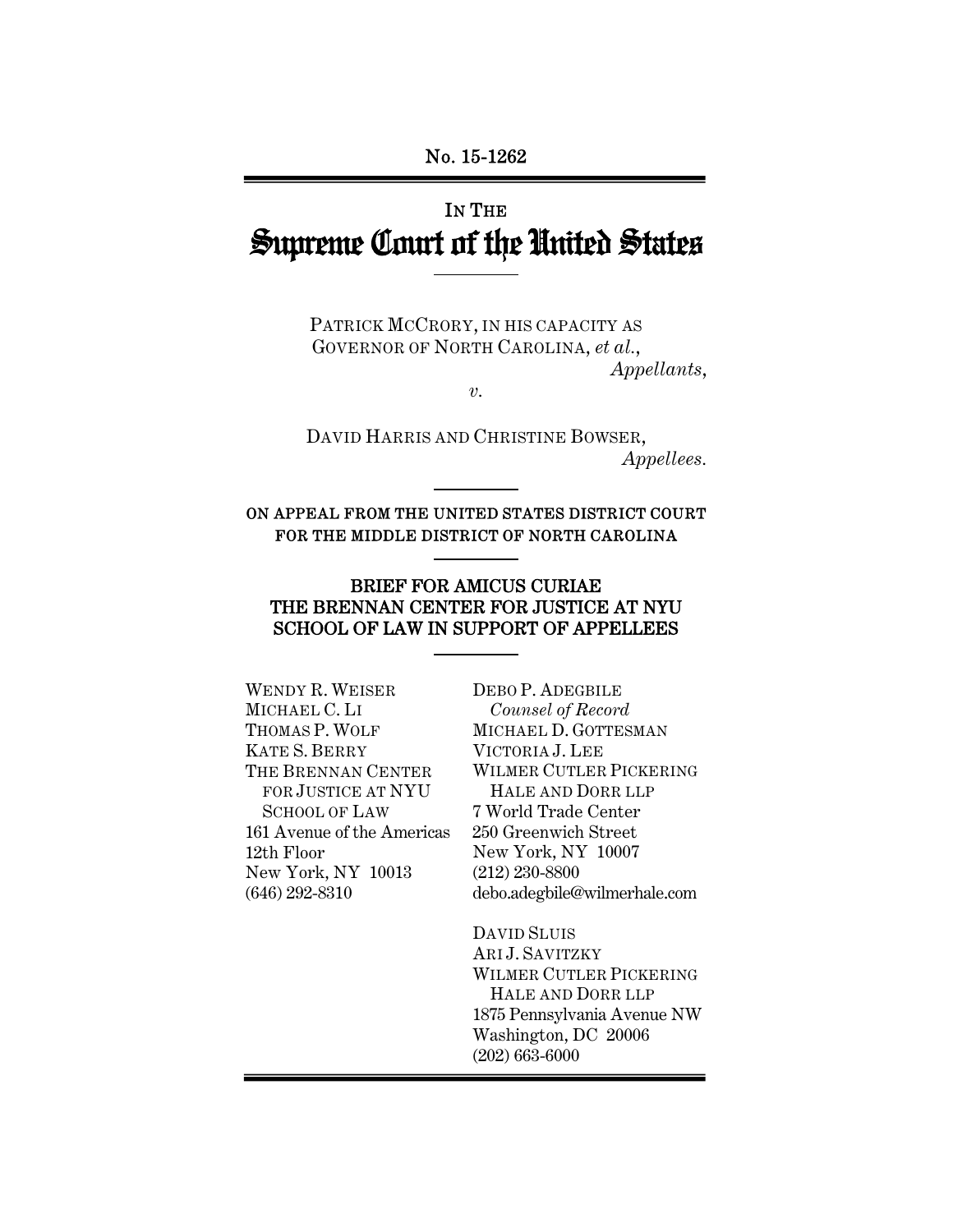# IN THE Supreme Court of the United States

PATRICK MCCRORY, IN HIS CAPACITY AS GOVERNOR OF NORTH CAROLINA, *et al.*, *Appellants*,

*v.* 

DAVID HARRIS AND CHRISTINE BOWSER, *Appellees.* 

ON APPEAL FROM THE UNITED STATES DISTRICT COURT FOR THE MIDDLE DISTRICT OF NORTH CAROLINA

#### BRIEF FOR AMICUS CURIAE THE BRENNAN CENTER FOR JUSTICE AT NYU SCHOOL OF LAW IN SUPPORT OF APPELLEES

WENDY R. WEISER MICHAEL C. LI THOMAS P. WOLF KATE S. BERRY THE BRENNAN CENTER FOR JUSTICE AT NYU SCHOOL OF LAW 161 Avenue of the Americas 12th Floor New York, NY 10013 (646) 292-8310

DEBO P. ADEGBILE *Counsel of Record* MICHAEL D. GOTTESMAN VICTORIA J. LEE WILMER CUTLER PICKERING HALE AND DORR LLP 7 World Trade Center 250 Greenwich Street New York, NY 10007 (212) 230-8800 debo.adegbile@wilmerhale.com

DAVID SLUIS ARI J. SAVITZKY WILMER CUTLER PICKERING HALE AND DORR LLP 1875 Pennsylvania Avenue NW Washington, DC 20006 (202) 663-6000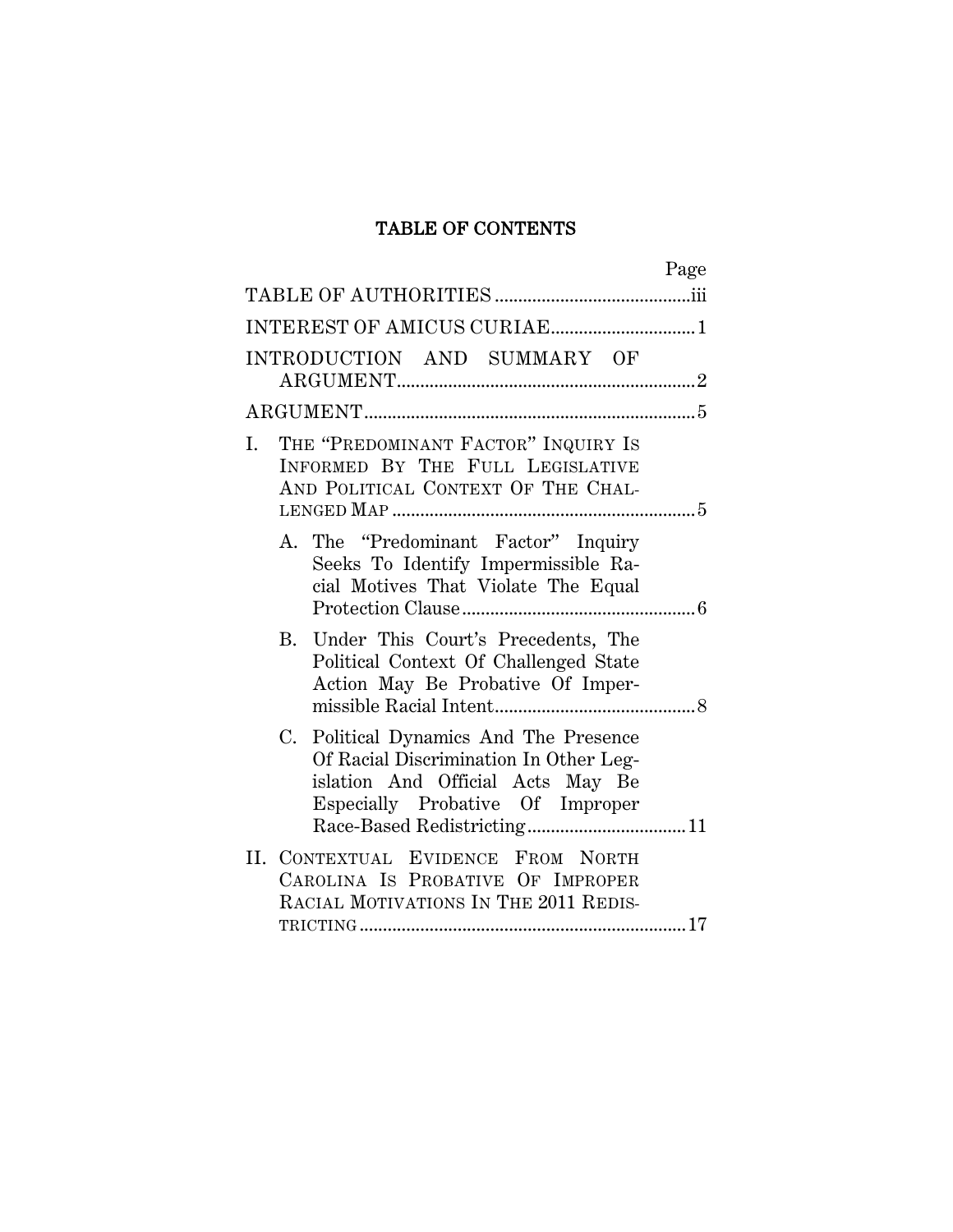## TABLE OF CONTENTS

| Page                                                                                                                                                      |
|-----------------------------------------------------------------------------------------------------------------------------------------------------------|
|                                                                                                                                                           |
| INTEREST OF AMICUS CURIAE1                                                                                                                                |
| INTRODUCTION AND SUMMARY OF                                                                                                                               |
|                                                                                                                                                           |
| THE "PREDOMINANT FACTOR" INQUIRY IS<br>Ι.<br>INFORMED BY THE FULL LEGISLATIVE<br>AND POLITICAL CONTEXT OF THE CHAL-                                       |
| A. The "Predominant Factor" Inquiry<br>Seeks To Identify Impermissible Ra-<br>cial Motives That Violate The Equal                                         |
| B. Under This Court's Precedents, The<br>Political Context Of Challenged State<br>Action May Be Probative Of Imper-                                       |
| C. Political Dynamics And The Presence<br>Of Racial Discrimination In Other Leg-<br>islation And Official Acts May Be<br>Especially Probative Of Improper |
| II. CONTEXTUAL EVIDENCE FROM NORTH<br>CAROLINA IS PROBATIVE OF IMPROPER<br>RACIAL MOTIVATIONS IN THE 2011 REDIS-                                          |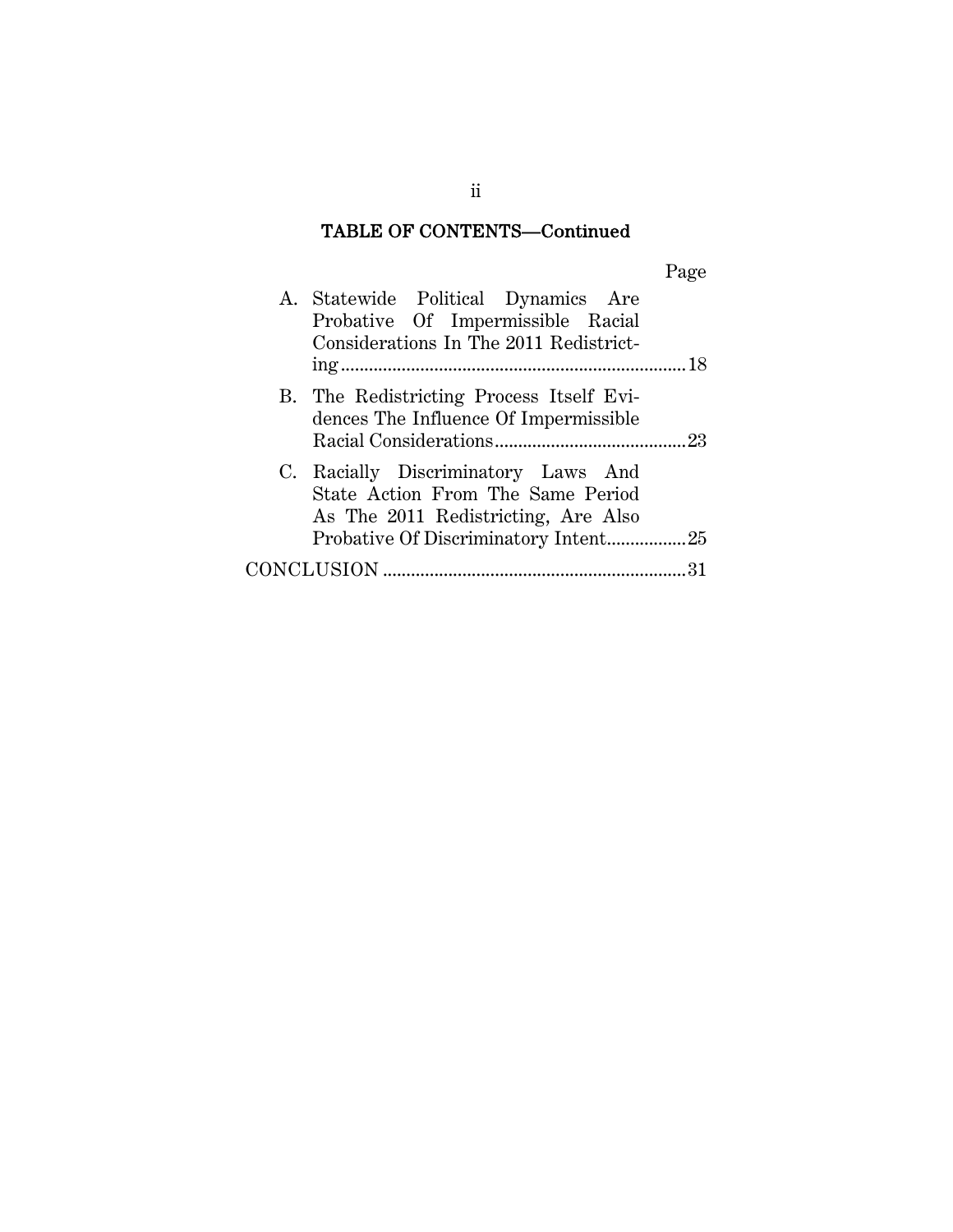## TABLE OF CONTENTS—Continued

|--|

| A. Statewide Political Dynamics Are<br>Probative Of Impermissible Racial<br>Considerations In The 2011 Redistrict- |
|--------------------------------------------------------------------------------------------------------------------|
|                                                                                                                    |
| B. The Redistricting Process Itself Evi-<br>dences The Influence Of Impermissible                                  |
| C. Racially Discriminatory Laws And<br>State Action From The Same Period<br>As The 2011 Redistricting, Are Also    |
| Probative Of Discriminatory Intent25                                                                               |
|                                                                                                                    |

ii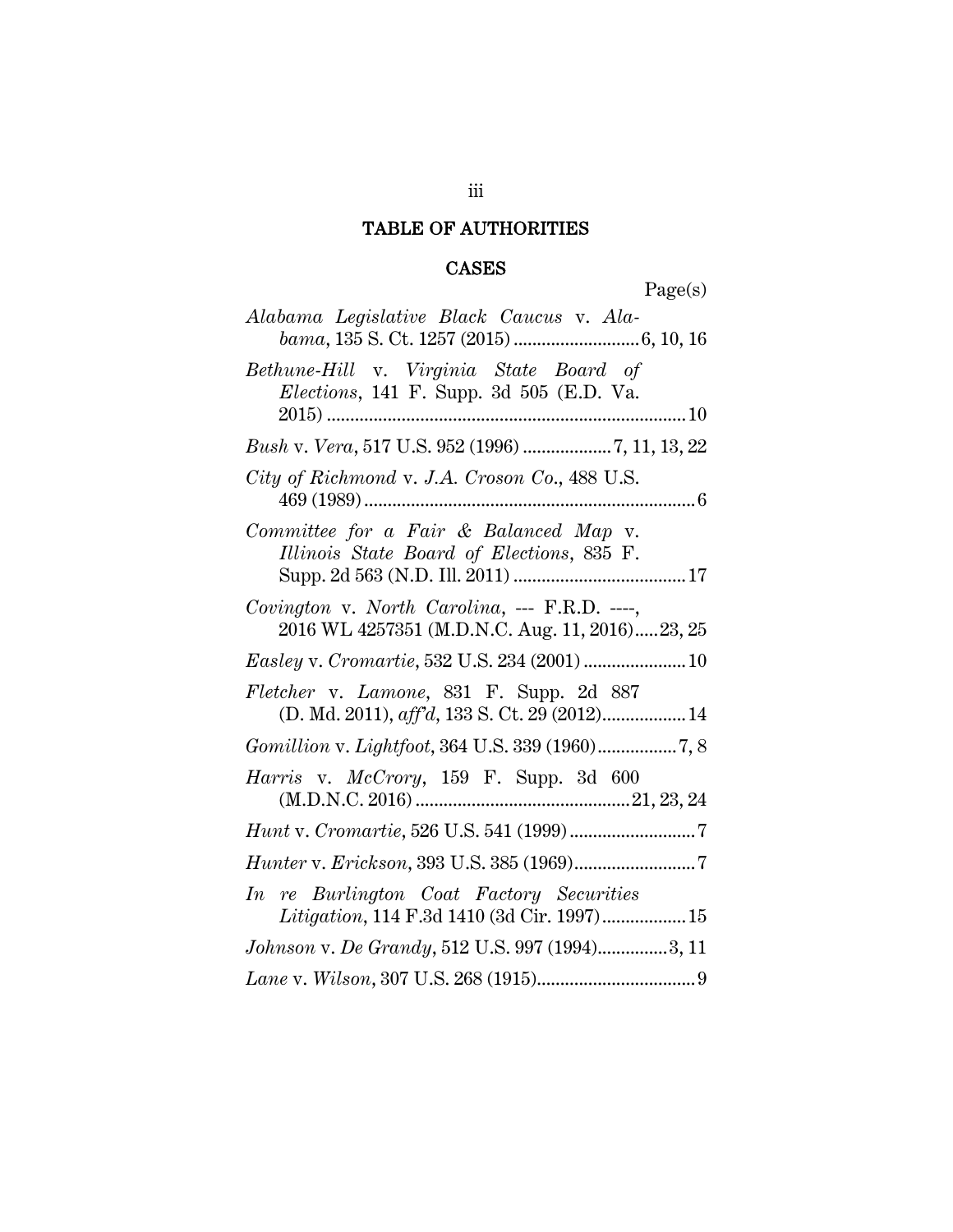## TABLE OF AUTHORITIES

## CASES

Page(s)

| Alabama Legislative Black Caucus v. Ala-                                                          |
|---------------------------------------------------------------------------------------------------|
| Bethune-Hill v. Virginia State Board of<br><i>Elections</i> , 141 F. Supp. 3d 505 (E.D. Va.       |
| Bush v. Vera, 517 U.S. 952 (1996) 7, 11, 13, 22                                                   |
| City of Richmond v. J.A. Croson Co., 488 U.S.                                                     |
| Committee for a Fair & Balanced Map v.<br>Illinois State Board of Elections, 835 F.               |
| Covington v. North Carolina, --- $F.R.D.$ ----,<br>2016 WL 4257351 (M.D.N.C. Aug. 11, 2016)23, 25 |
|                                                                                                   |
| Fletcher v. Lamone, 831 F. Supp. 2d 887<br>(D. Md. 2011), aff'd, 133 S. Ct. 29 (2012) 14          |
| Gomillion v. Lightfoot, 364 U.S. 339 (1960)7, 8                                                   |
| Harris v. McCrory, 159 F. Supp. 3d 600                                                            |
|                                                                                                   |
| $\it Hunter~v.\ Erickson, 393~U.S.\ 385\ (1969)7$                                                 |
| In re Burlington Coat Factory Securities<br>Litigation, 114 F.3d 1410 (3d Cir. 1997) 15           |
| Johnson v. De Grandy, 512 U.S. 997 (1994)3, 11                                                    |
|                                                                                                   |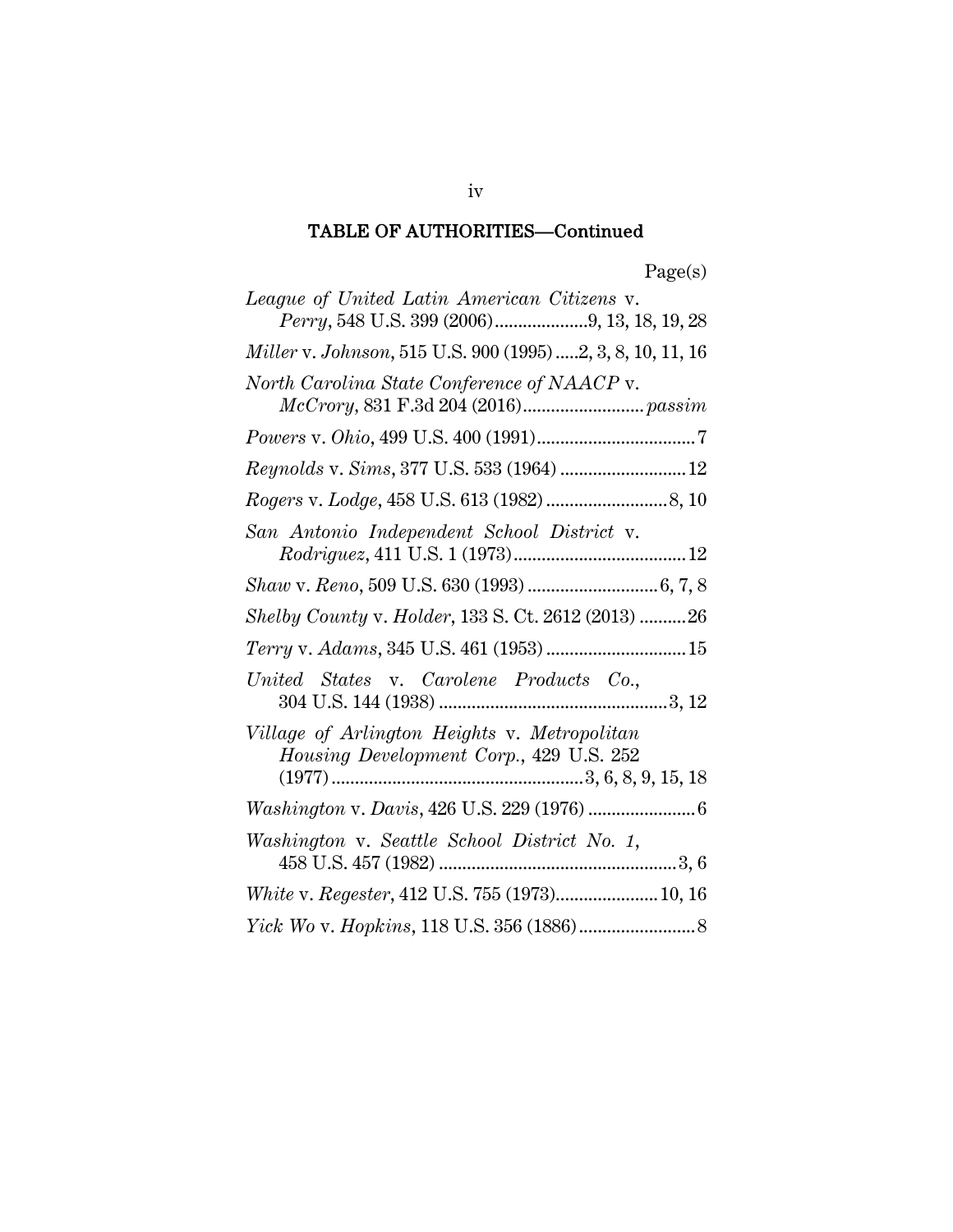| League of United Latin American Citizens v.<br>Perry, 548 U.S. 399 (2006)9, 13, 18, 19, 28 |
|--------------------------------------------------------------------------------------------|
| Miller v. Johnson, 515 U.S. 900 (1995) 2, 3, 8, 10, 11, 16                                 |
| North Carolina State Conference of NAACP v.                                                |
| $Powers\ v.\ Ohio, 499\ U.S.\ 400\ (1991)7$                                                |
| Reynolds v. Sims, 377 U.S. 533 (1964)  12                                                  |
|                                                                                            |
| San Antonio Independent School District v.                                                 |
|                                                                                            |
| Shelby County v. Holder, 133 S. Ct. 2612 (2013) 26                                         |
| Terry v. Adams, 345 U.S. 461 (1953) 15                                                     |
| United States v. Carolene Products Co.,                                                    |
| Village of Arlington Heights v. Metropolitan<br>Housing Development Corp., 429 U.S. 252    |
|                                                                                            |
| Washington v. Seattle School District No. 1,                                               |
| White v. Regester, 412 U.S. 755 (1973) 10, 16                                              |
|                                                                                            |

iv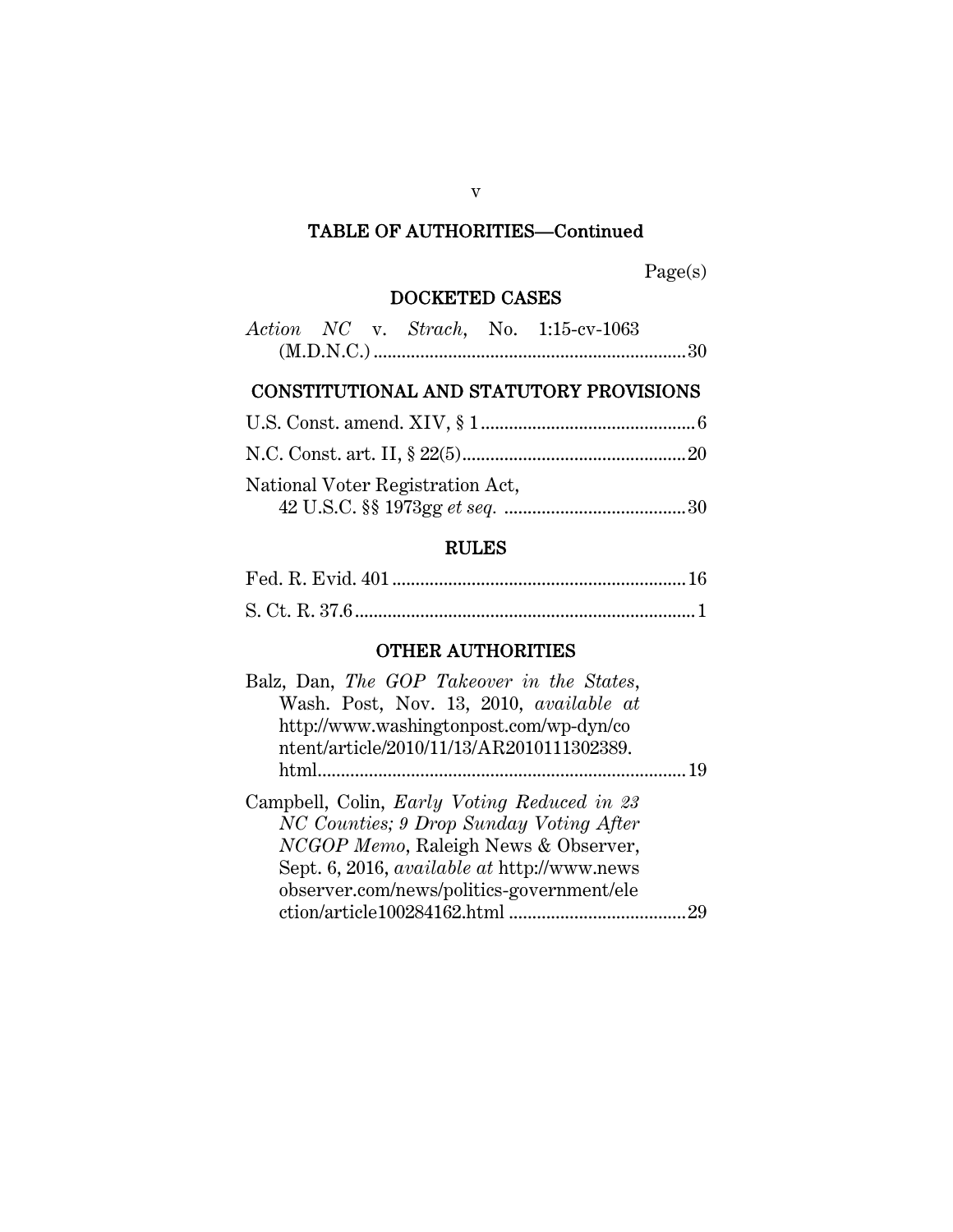Page(s)

## DOCKETED CASES

|  |  | Action NC v. Strach, No. 1:15-cv-1063 |  |
|--|--|---------------------------------------|--|
|  |  |                                       |  |

## CONSTITUTIONAL AND STATUTORY PROVISIONS

| National Voter Registration Act, |  |
|----------------------------------|--|

## RULES

## OTHER AUTHORITIES

| Balz, Dan, The GOP Takeover in the States,         |    |
|----------------------------------------------------|----|
| Wash. Post, Nov. 13, 2010, available at            |    |
| http://www.washingtonpost.com/wp-dyn/co            |    |
| ntent/article/2010/11/13/AR2010111302389.          |    |
| html                                               | 19 |
| Campbell, Colin, <i>Early Voting Reduced in 23</i> |    |
| NC Counties; 9 Drop Sunday Voting After            |    |
| NCGOP Memo, Raleigh News & Observer,               |    |
| Sept. 6, 2016, <i>available at http://www.news</i> |    |
| observer.com/news/politics-government/ele          |    |
|                                                    |    |
|                                                    |    |

v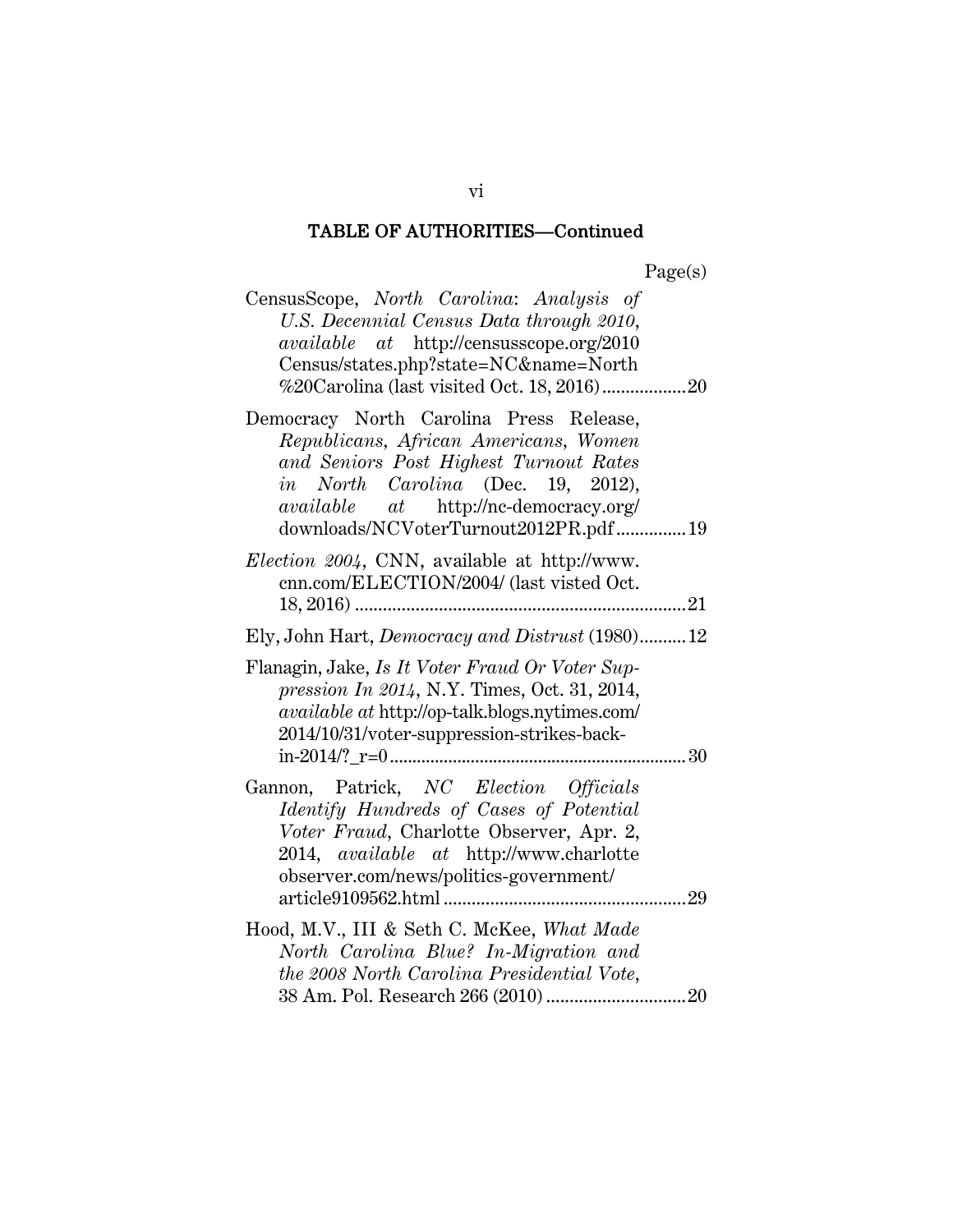| CensusScope, North Carolina: Analysis of<br>U.S. Decennial Census Data through 2010,<br><i>available</i> at http://censusscope.org/2010<br>Census/states.php?state=NC&name=North                                                                          |
|-----------------------------------------------------------------------------------------------------------------------------------------------------------------------------------------------------------------------------------------------------------|
| Democracy North Carolina Press Release,<br>Republicans, African Americans, Women<br>and Seniors Post Highest Turnout Rates<br>in North Carolina (Dec. 19, 2012),<br><i>available</i> at http://nc-democracy.org/<br>downloads/NCVoterTurnout2012PR.pdf 19 |
| <i>Election 2004</i> , CNN, available at http://www.<br>cnn.com/ELECTION/2004/ (last visted Oct.                                                                                                                                                          |
| Ely, John Hart, Democracy and Distrust (1980)12                                                                                                                                                                                                           |
| Flanagin, Jake, Is It Voter Fraud Or Voter Sup-<br>pression In 2014, N.Y. Times, Oct. 31, 2014,<br><i>available at http://op-talk.blogs.nytimes.com/</i><br>2014/10/31/voter-suppression-strikes-back-                                                    |
| Gannon, Patrick, NC Election Officials<br>Identify Hundreds of Cases of Potential<br>Voter Fraud, Charlotte Observer, Apr. 2,<br>2014, available at http://www.charlotte<br>observer.com/news/politics-government/                                        |
| Hood, M.V., III & Seth C. McKee, What Made<br>North Carolina Blue? In-Migration and<br>the 2008 North Carolina Presidential Vote,                                                                                                                         |

vi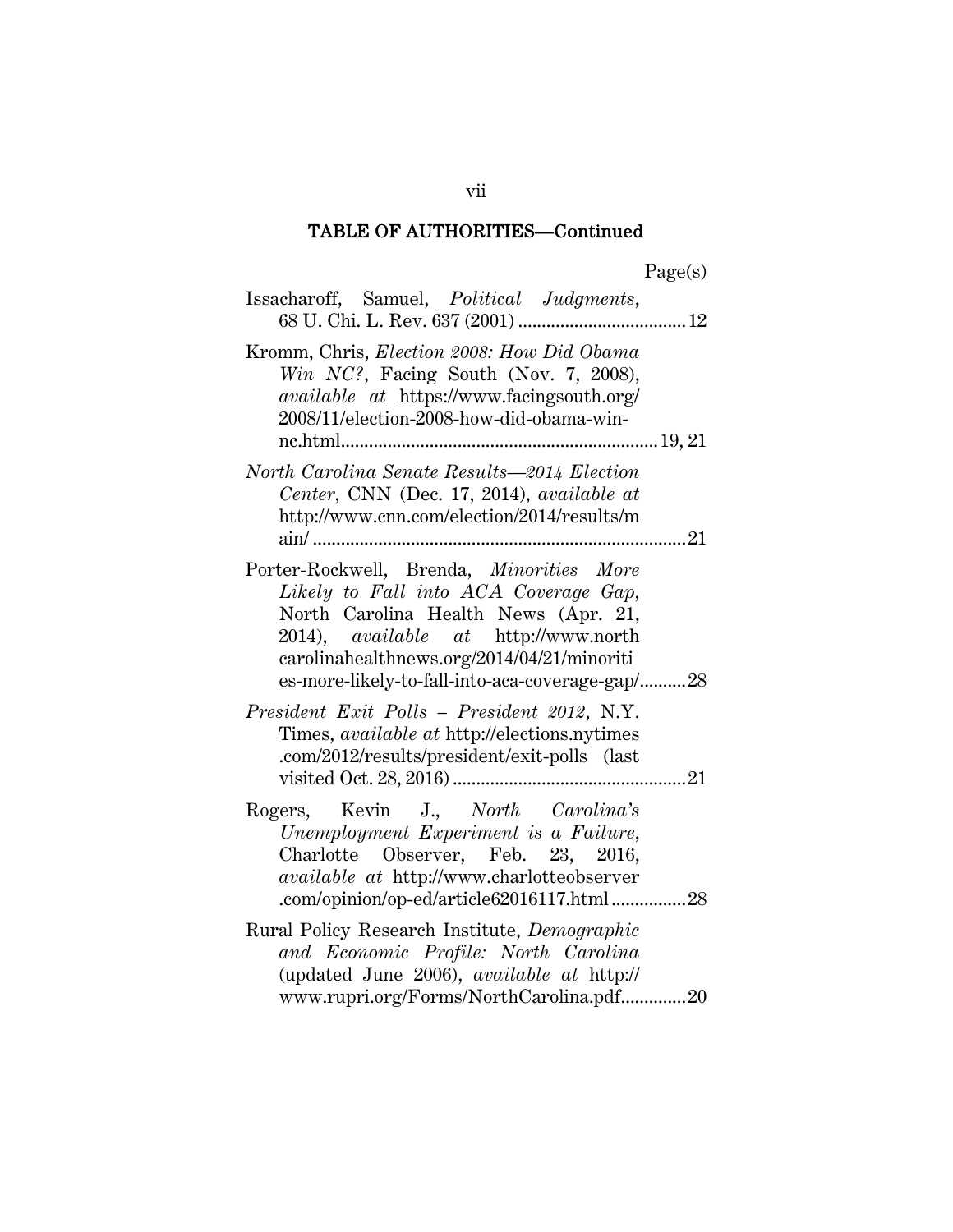| Issacharoff, Samuel, Political Judgments,                                                                                                                                                                                                                          |
|--------------------------------------------------------------------------------------------------------------------------------------------------------------------------------------------------------------------------------------------------------------------|
| Kromm, Chris, Election 2008: How Did Obama<br>Win $NC$ ?, Facing South (Nov. 7, 2008),<br><i>available at https://www.facingsouth.org/</i><br>2008/11/election-2008-how-did-obama-win-                                                                             |
| North Carolina Senate Results—2014 Election<br>Center, CNN (Dec. 17, 2014), available at<br>http://www.cnn.com/election/2014/results/m                                                                                                                             |
| Porter-Rockwell, Brenda, Minorities More<br>Likely to Fall into ACA Coverage Gap,<br>North Carolina Health News (Apr. 21,<br>2014), available at http://www.north<br>carolinahealthnews.org/2014/04/21/minoriti<br>es-more-likely-to-fall-into-aca-coverage-gap/28 |
| President Exit Polls - President 2012, N.Y.<br>Times, <i>available at http://elections.nytimes</i><br>.com/2012/results/president/exit-polls (last                                                                                                                 |
| Rogers, Kevin J., North Carolina's<br>Unemployment Experiment is a Failure,<br>Charlotte Observer, Feb. 23, 2016,<br><i>available at http://www.charlotteobserver</i><br>.com/opinion/op-ed/article62016117.html28                                                 |
| Rural Policy Research Institute, Demographic<br>and Economic Profile: North Carolina<br>(updated June 2006), <i>available at http://</i><br>www.rupri.org/Forms/NorthCarolina.pdf20                                                                                |

vii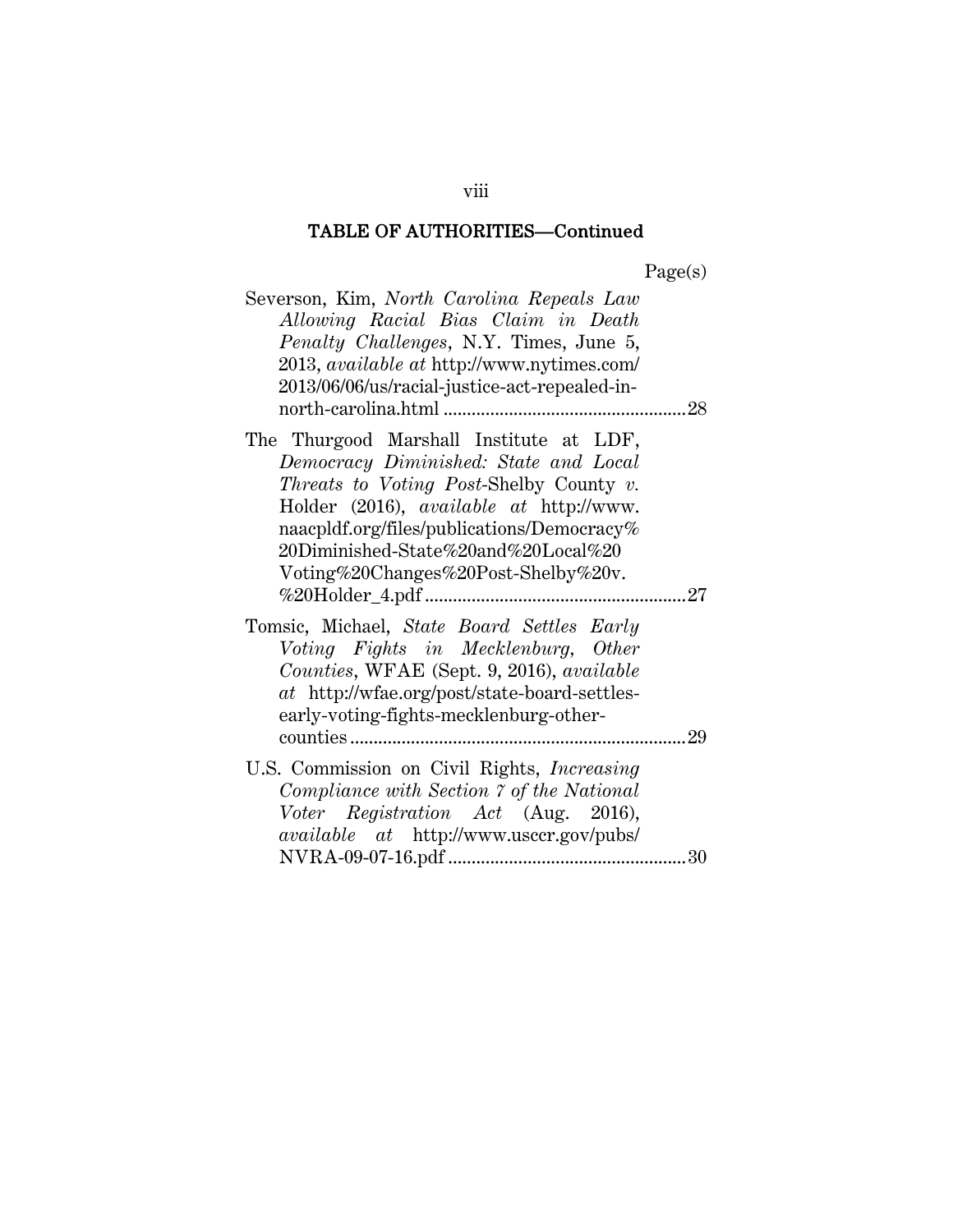| agets |
|-------|
|-------|

| Severson, Kim, North Carolina Repeals Law<br>Allowing Racial Bias Claim in Death<br>Penalty Challenges, N.Y. Times, June 5,<br>2013, <i>available at http://www.nytimes.com/</i><br>2013/06/06/us/racial-justice-act-repealed-in-                                                                                |  |
|------------------------------------------------------------------------------------------------------------------------------------------------------------------------------------------------------------------------------------------------------------------------------------------------------------------|--|
| The Thurgood Marshall Institute at LDF,<br>Democracy Diminished: State and Local<br><i>Threats to Voting Post-Shelby County v.</i><br>Holder (2016), <i>available at http://www.</i><br>naacpldf.org/files/publications/Democracy%<br>20Diminished-State%20and%20Local%20<br>Voting%20Changes%20Post-Shelby%20v. |  |
| Tomsic, Michael, State Board Settles Early<br>Voting Fights in Mecklenburg, Other<br>Counties, WFAE (Sept. 9, 2016), available<br>at http://wfae.org/post/state-board-settles-<br>early-voting-fights-mecklenburg-other-                                                                                         |  |
| U.S. Commission on Civil Rights, <i>Increasing</i><br>Compliance with Section 7 of the National<br>Voter Registration Act (Aug. 2016),<br><i>available</i> at http://www.usccr.gov/pubs/                                                                                                                         |  |

viii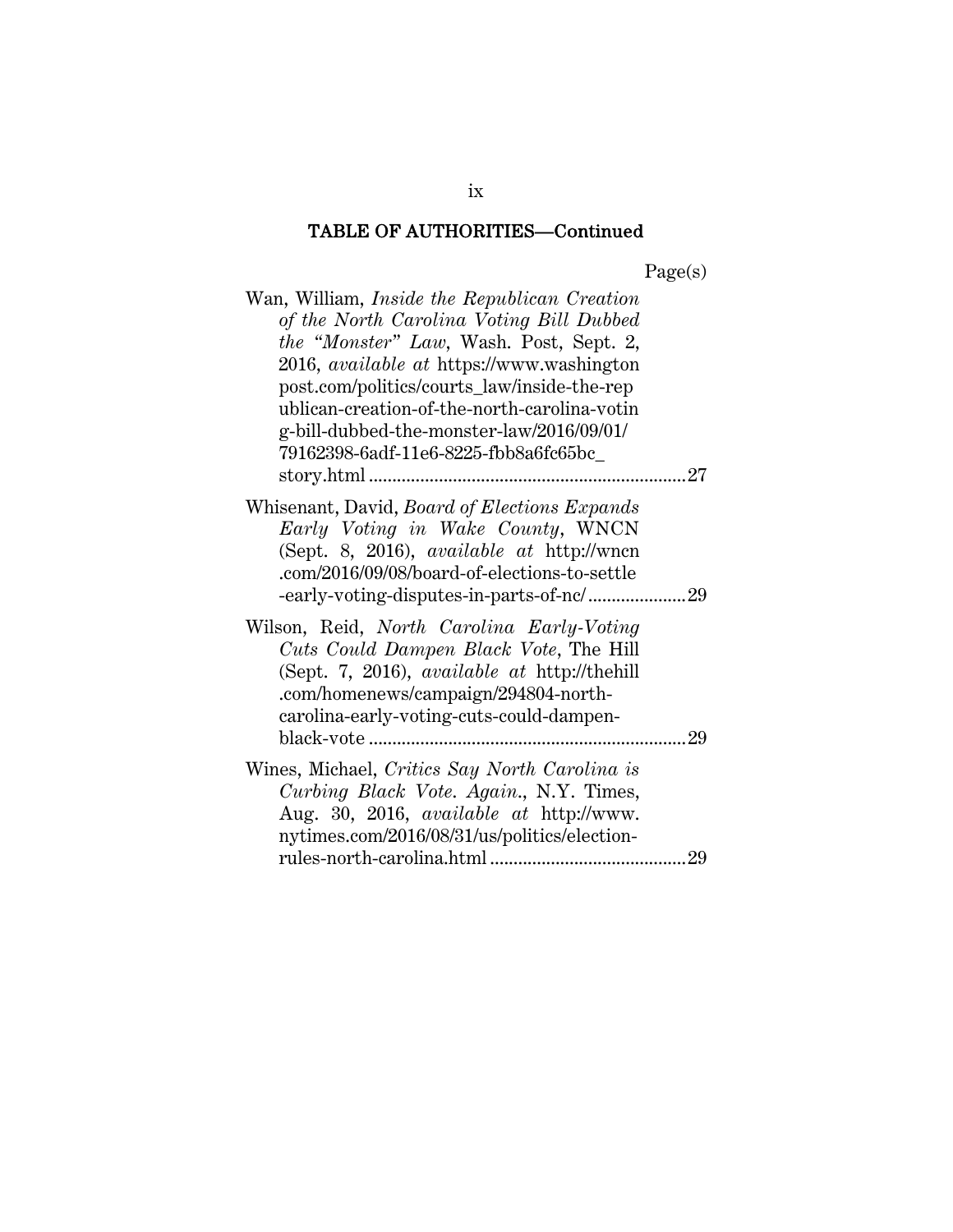| age(s |
|-------|
|-------|

| of the North Carolina Voting Bill Dubbed<br><i>the "Monster" Law</i> , Wash. Post, Sept. 2,<br>2016, <i>available at</i> https://www.washington<br>post.com/politics/courts_law/inside-the-rep<br>ublican-creation-of-the-north-carolina-votin<br>g-bill-dubbed-the-monster-law/2016/09/01/<br>79162398-6adf-11e6-8225-fbb8a6fc65bc_ |
|--------------------------------------------------------------------------------------------------------------------------------------------------------------------------------------------------------------------------------------------------------------------------------------------------------------------------------------|
| 27<br>.                                                                                                                                                                                                                                                                                                                              |
| Whisenant, David, Board of Elections Expands<br>Early Voting in Wake County, WNCN<br>(Sept. 8, 2016), available at http://wncn<br>.com/2016/09/08/board-of-elections-to-settle                                                                                                                                                       |
| Wilson, Reid, <i>North Carolina Early-Voting</i><br>Cuts Could Dampen Black Vote, The Hill<br>(Sept. 7, 2016), available at http://thehill<br>.com/homenews/campaign/294804-north-<br>carolina-early-voting-cuts-could-dampen-<br>29                                                                                                 |
| Wines, Michael, Critics Say North Carolina is<br>Curbing Black Vote. Again., N.Y. Times,<br>Aug. 30, 2016, <i>available at http://www.</i><br>nytimes.com/2016/08/31/us/politics/election-                                                                                                                                           |

ix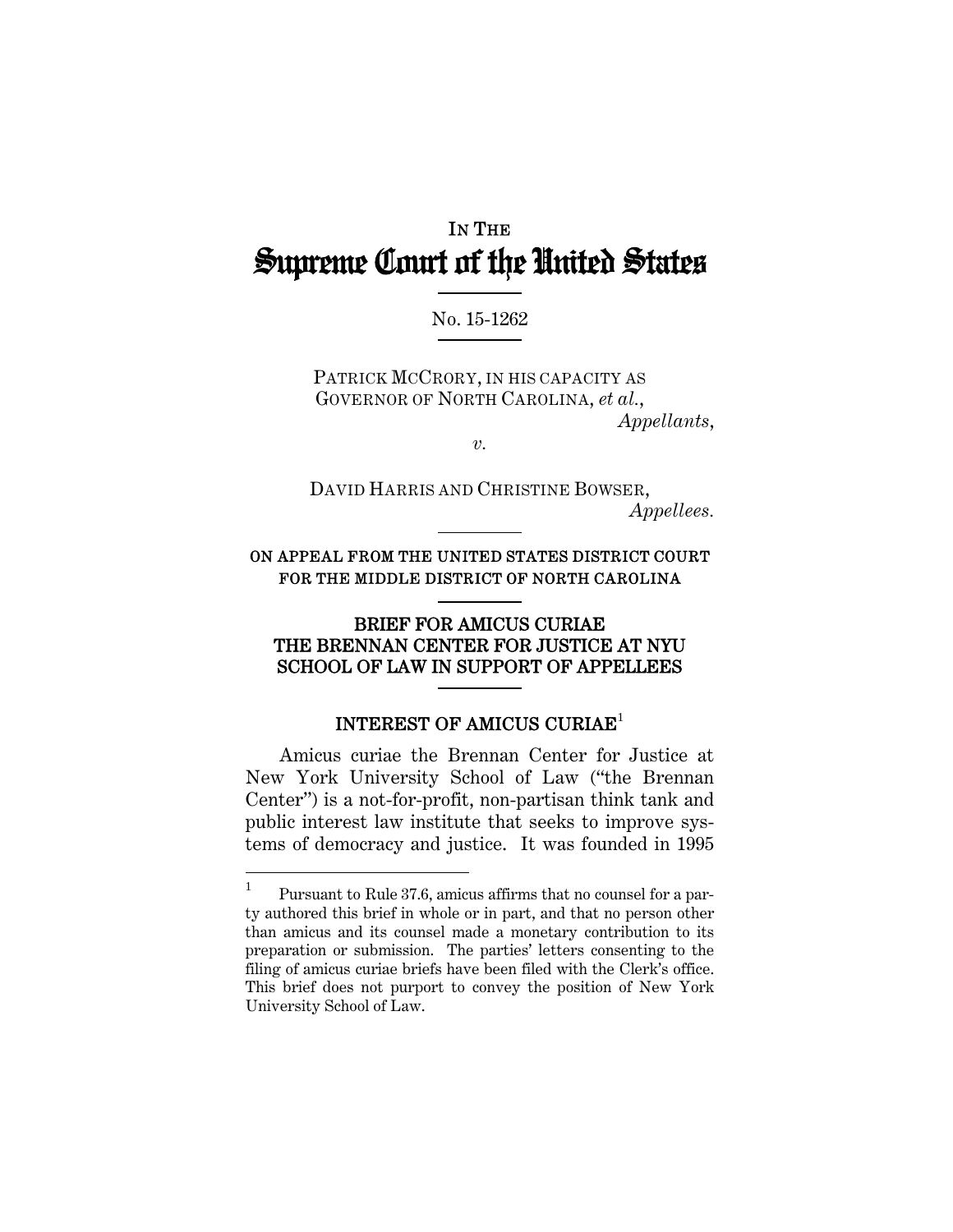## IN THE Supreme Court of the United States

#### No. 15-1262

PATRICK MCCRORY, IN HIS CAPACITY AS GOVERNOR OF NORTH CAROLINA, *et al.*, *Appellants*,

*v.* 

DAVID HARRIS AND CHRISTINE BOWSER, *Appellees.* 

ON APPEAL FROM THE UNITED STATES DISTRICT COURT FOR THE MIDDLE DISTRICT OF NORTH CAROLINA

#### BRIEF FOR AMICUS CURIAE THE BRENNAN CENTER FOR JUSTICE AT NYU SCHOOL OF LAW IN SUPPORT OF APPELLEES

#### INTEREST OF AMICUS CURIAE<sup>1</sup>

Amicus curiae the Brennan Center for Justice at New York University School of Law ("the Brennan Center") is a not-for-profit, non-partisan think tank and public interest law institute that seeks to improve systems of democracy and justice. It was founded in 1995

 1 Pursuant to Rule 37.6, amicus affirms that no counsel for a party authored this brief in whole or in part, and that no person other than amicus and its counsel made a monetary contribution to its preparation or submission. The parties' letters consenting to the filing of amicus curiae briefs have been filed with the Clerk's office. This brief does not purport to convey the position of New York University School of Law.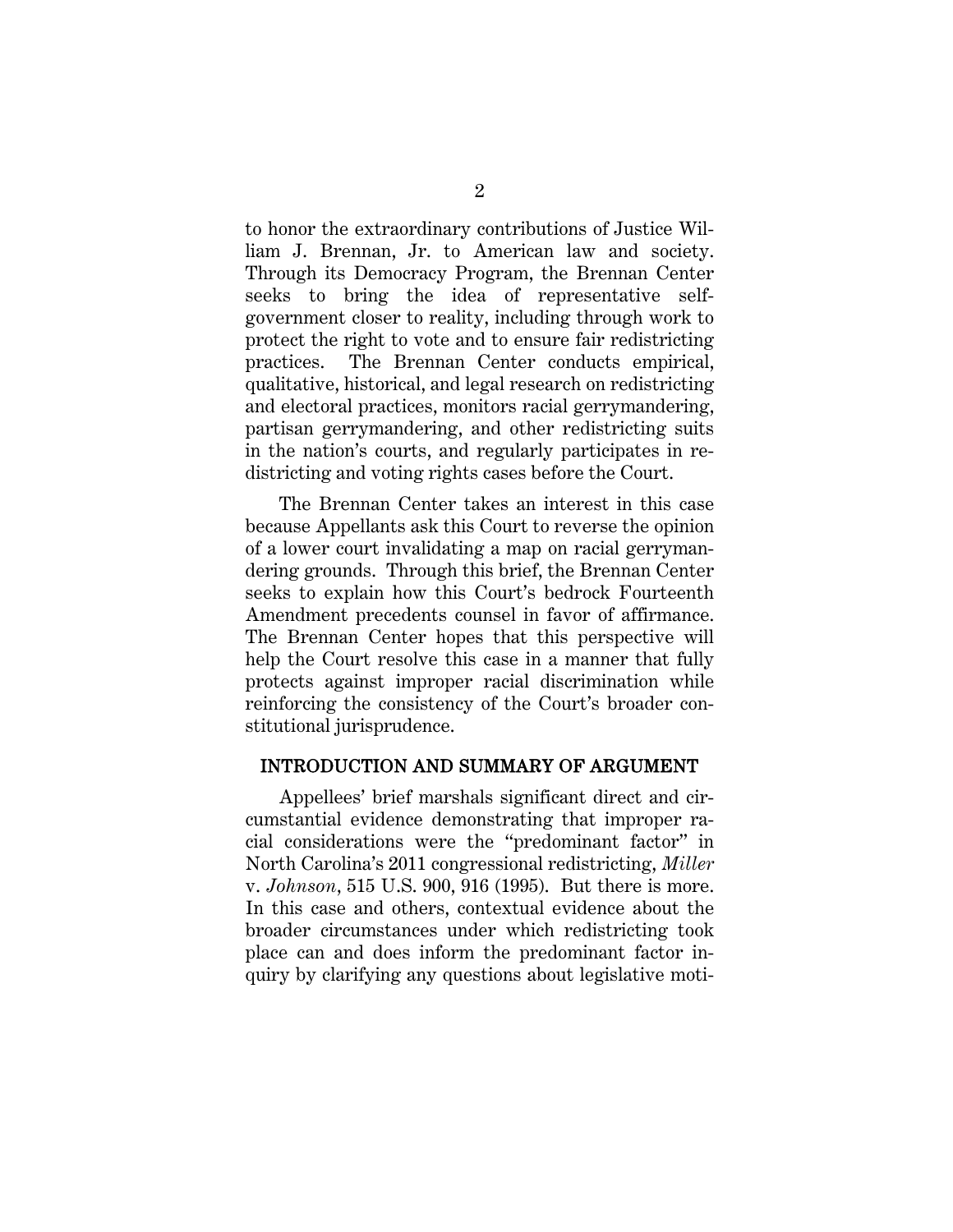to honor the extraordinary contributions of Justice William J. Brennan, Jr. to American law and society. Through its Democracy Program, the Brennan Center seeks to bring the idea of representative selfgovernment closer to reality, including through work to protect the right to vote and to ensure fair redistricting practices. The Brennan Center conducts empirical, qualitative, historical, and legal research on redistricting and electoral practices, monitors racial gerrymandering, partisan gerrymandering, and other redistricting suits in the nation's courts, and regularly participates in redistricting and voting rights cases before the Court.

The Brennan Center takes an interest in this case because Appellants ask this Court to reverse the opinion of a lower court invalidating a map on racial gerrymandering grounds. Through this brief, the Brennan Center seeks to explain how this Court's bedrock Fourteenth Amendment precedents counsel in favor of affirmance. The Brennan Center hopes that this perspective will help the Court resolve this case in a manner that fully protects against improper racial discrimination while reinforcing the consistency of the Court's broader constitutional jurisprudence.

#### INTRODUCTION AND SUMMARY OF ARGUMENT

Appellees' brief marshals significant direct and circumstantial evidence demonstrating that improper racial considerations were the "predominant factor" in North Carolina's 2011 congressional redistricting, *Miller*  v. *Johnson*, 515 U.S. 900, 916 (1995). But there is more. In this case and others, contextual evidence about the broader circumstances under which redistricting took place can and does inform the predominant factor inquiry by clarifying any questions about legislative moti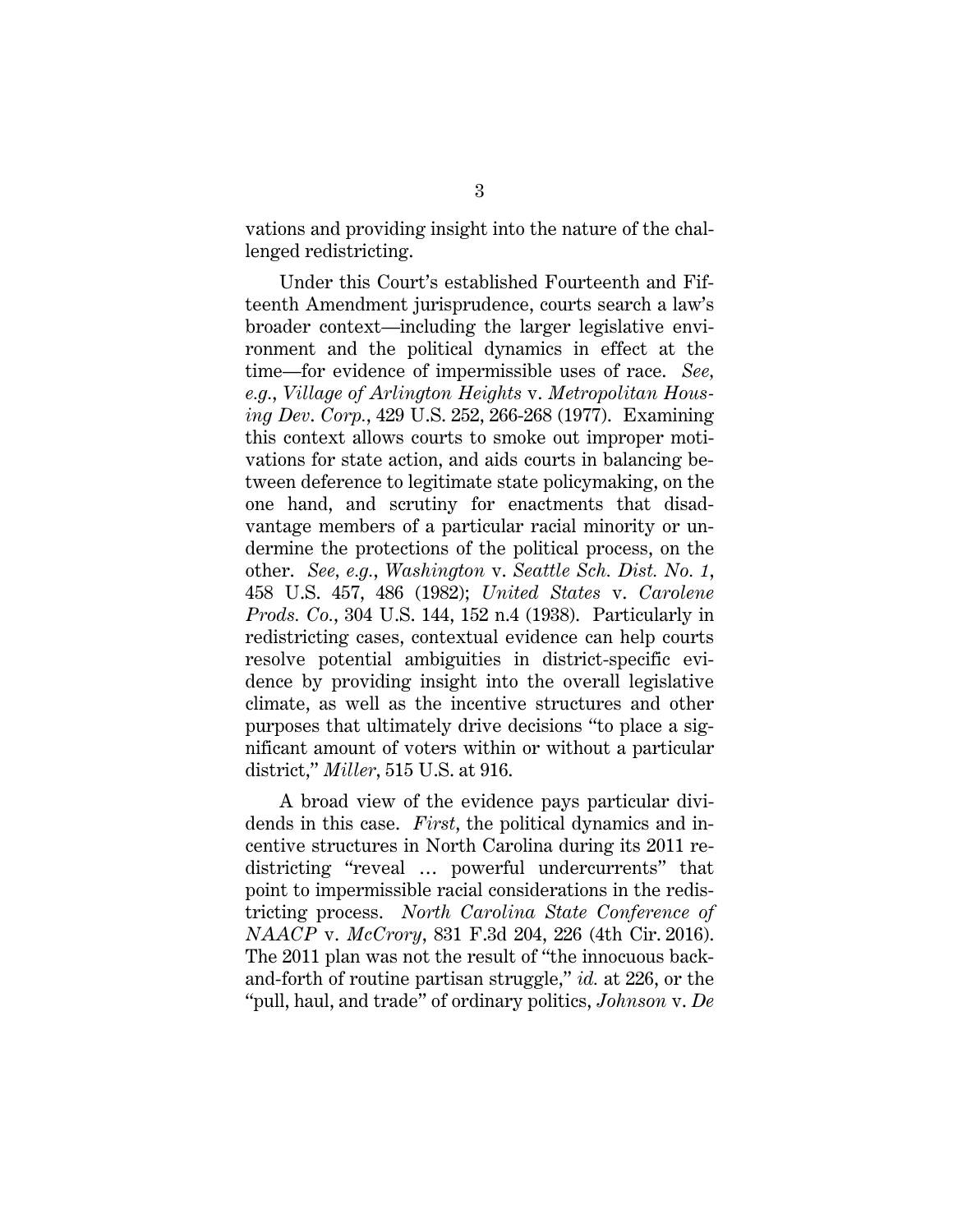vations and providing insight into the nature of the challenged redistricting.

Under this Court's established Fourteenth and Fifteenth Amendment jurisprudence, courts search a law's broader context—including the larger legislative environment and the political dynamics in effect at the time—for evidence of impermissible uses of race. *See, e.g.*, *Village of Arlington Heights* v. *Metropolitan Housing Dev*. *Corp.*, 429 U.S. 252, 266-268 (1977). Examining this context allows courts to smoke out improper motivations for state action, and aids courts in balancing between deference to legitimate state policymaking, on the one hand, and scrutiny for enactments that disadvantage members of a particular racial minority or undermine the protections of the political process, on the other. *See, e.g.*, *Washington* v. *Seattle Sch. Dist. No. 1*, 458 U.S. 457, 486 (1982); *United States* v. *Carolene Prods. Co.*, 304 U.S. 144, 152 n.4 (1938). Particularly in redistricting cases, contextual evidence can help courts resolve potential ambiguities in district-specific evidence by providing insight into the overall legislative climate, as well as the incentive structures and other purposes that ultimately drive decisions "to place a significant amount of voters within or without a particular district," *Miller*, 515 U.S. at 916.

A broad view of the evidence pays particular dividends in this case. *First*, the political dynamics and incentive structures in North Carolina during its 2011 redistricting "reveal … powerful undercurrents" that point to impermissible racial considerations in the redistricting process. *North Carolina State Conference of NAACP* v. *McCrory*, 831 F.3d 204, 226 (4th Cir. 2016). The 2011 plan was not the result of "the innocuous backand-forth of routine partisan struggle," *id.* at 226, or the "pull, haul, and trade" of ordinary politics, *Johnson* v. *De*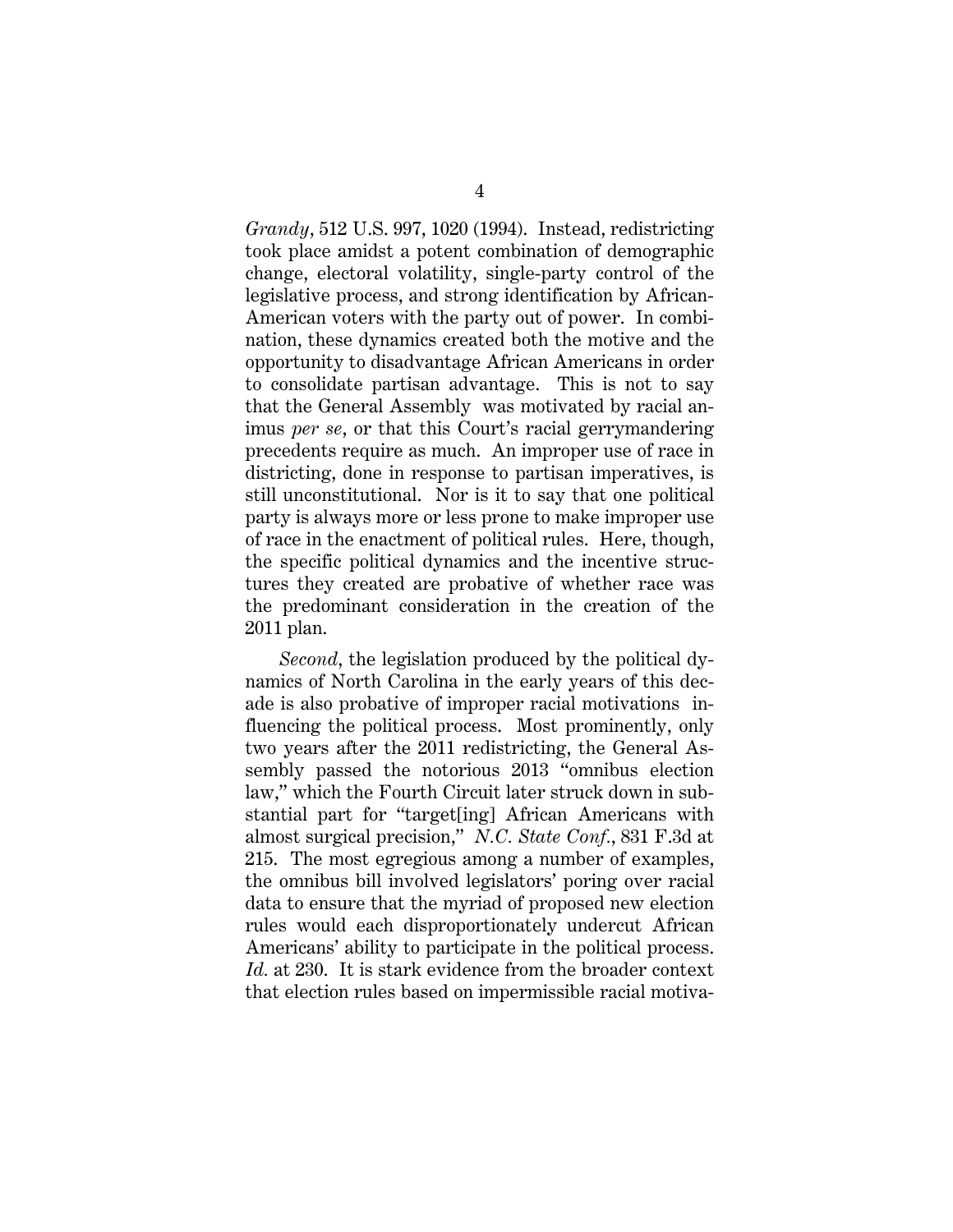*Grandy*, 512 U.S. 997, 1020 (1994). Instead, redistricting took place amidst a potent combination of demographic change, electoral volatility, single-party control of the legislative process, and strong identification by African-American voters with the party out of power. In combination, these dynamics created both the motive and the opportunity to disadvantage African Americans in order to consolidate partisan advantage. This is not to say that the General Assembly was motivated by racial animus *per se*, or that this Court's racial gerrymandering precedents require as much. An improper use of race in districting, done in response to partisan imperatives, is still unconstitutional. Nor is it to say that one political party is always more or less prone to make improper use of race in the enactment of political rules. Here, though, the specific political dynamics and the incentive structures they created are probative of whether race was the predominant consideration in the creation of the 2011 plan.

*Second*, the legislation produced by the political dynamics of North Carolina in the early years of this decade is also probative of improper racial motivations influencing the political process. Most prominently, only two years after the 2011 redistricting, the General Assembly passed the notorious 2013 "omnibus election law," which the Fourth Circuit later struck down in substantial part for "target[ing] African Americans with almost surgical precision," *N.C. State Conf.*, 831 F.3d at 215. The most egregious among a number of examples, the omnibus bill involved legislators' poring over racial data to ensure that the myriad of proposed new election rules would each disproportionately undercut African Americans' ability to participate in the political process. *Id.* at 230. It is stark evidence from the broader context that election rules based on impermissible racial motiva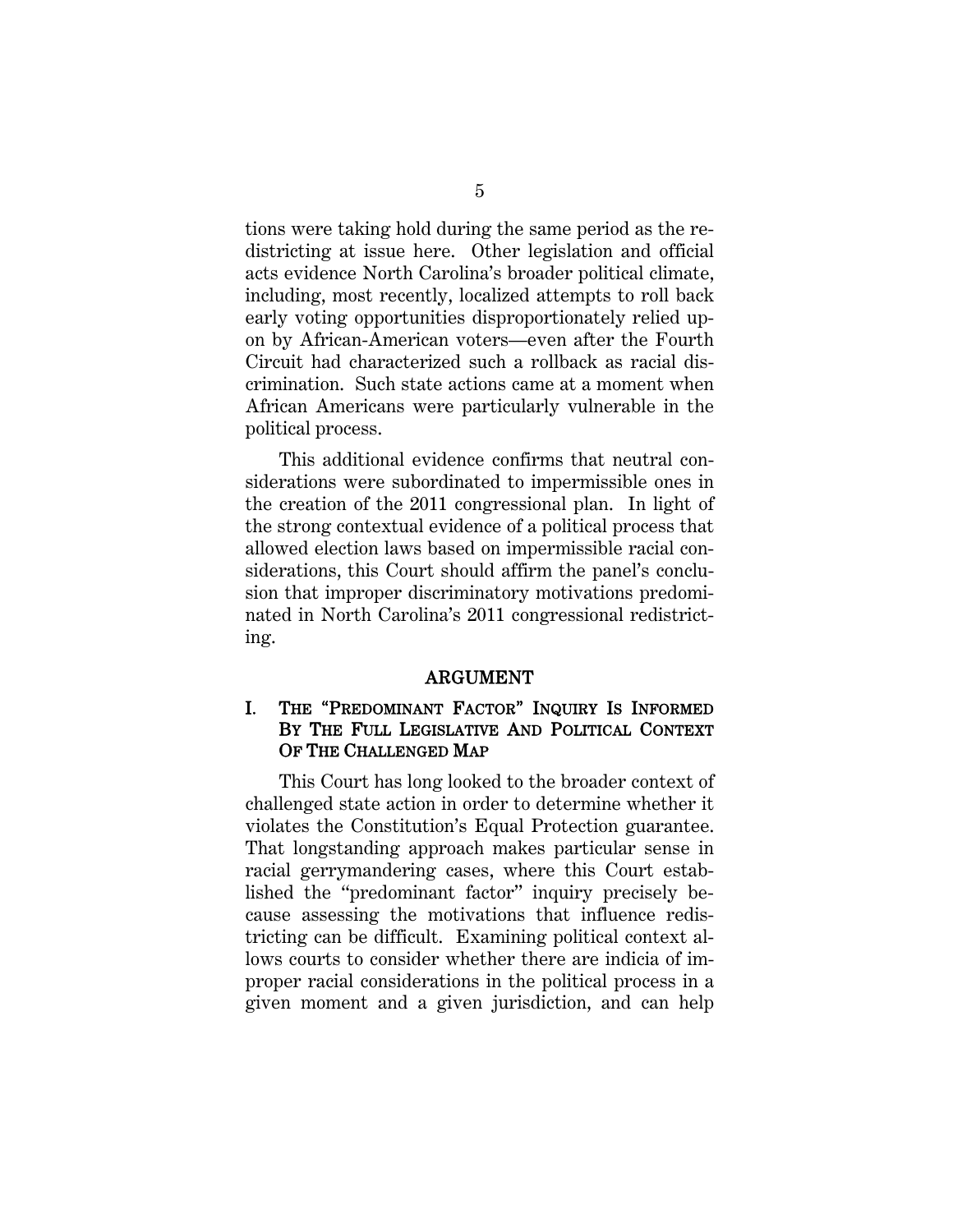tions were taking hold during the same period as the redistricting at issue here. Other legislation and official acts evidence North Carolina's broader political climate, including, most recently, localized attempts to roll back early voting opportunities disproportionately relied upon by African-American voters—even after the Fourth Circuit had characterized such a rollback as racial discrimination. Such state actions came at a moment when African Americans were particularly vulnerable in the political process.

This additional evidence confirms that neutral considerations were subordinated to impermissible ones in the creation of the 2011 congressional plan. In light of the strong contextual evidence of a political process that allowed election laws based on impermissible racial considerations, this Court should affirm the panel's conclusion that improper discriminatory motivations predominated in North Carolina's 2011 congressional redistricting.

#### ARGUMENT

#### I. THE "PREDOMINANT FACTOR" INQUIRY IS INFORMED BY THE FULL LEGISLATIVE AND POLITICAL CONTEXT OF THE CHALLENGED MAP

This Court has long looked to the broader context of challenged state action in order to determine whether it violates the Constitution's Equal Protection guarantee. That longstanding approach makes particular sense in racial gerrymandering cases, where this Court established the "predominant factor" inquiry precisely because assessing the motivations that influence redistricting can be difficult. Examining political context allows courts to consider whether there are indicia of improper racial considerations in the political process in a given moment and a given jurisdiction, and can help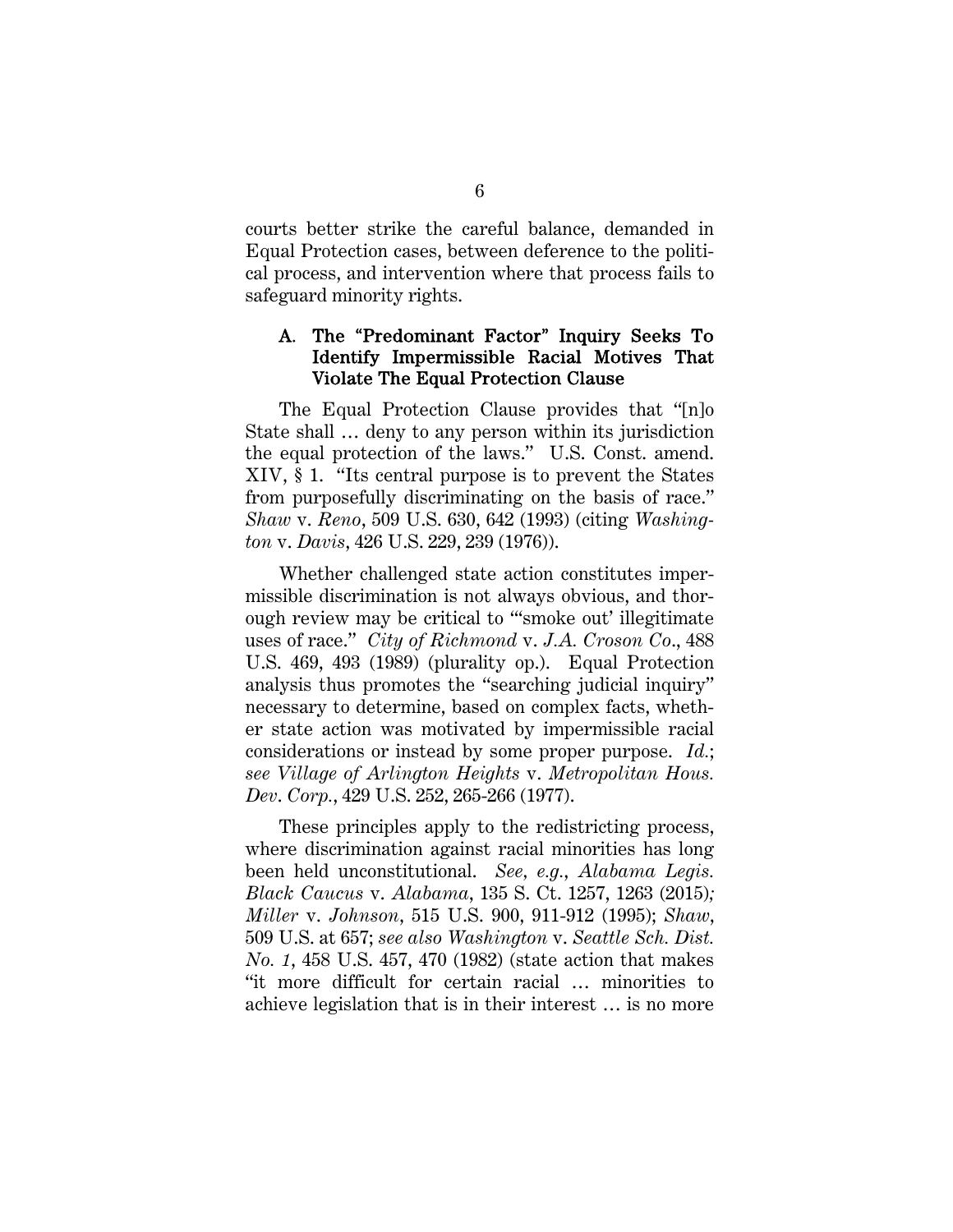courts better strike the careful balance, demanded in Equal Protection cases, between deference to the political process, and intervention where that process fails to safeguard minority rights.

#### A. The "Predominant Factor" Inquiry Seeks To Identify Impermissible Racial Motives That Violate The Equal Protection Clause

The Equal Protection Clause provides that "[n]o State shall … deny to any person within its jurisdiction the equal protection of the laws." U.S. Const. amend. XIV, § 1. "Its central purpose is to prevent the States from purposefully discriminating on the basis of race." *Shaw* v. *Reno*, 509 U.S. 630, 642 (1993) (citing *Washington* v. *Davis*, 426 U.S. 229, 239 (1976)).

Whether challenged state action constitutes impermissible discrimination is not always obvious, and thorough review may be critical to "'smoke out' illegitimate uses of race." *City of Richmond* v. *J.A. Croson Co*., 488 U.S. 469, 493 (1989) (plurality op.). Equal Protection analysis thus promotes the "searching judicial inquiry" necessary to determine, based on complex facts, whether state action was motivated by impermissible racial considerations or instead by some proper purpose. *Id.*; *see Village of Arlington Heights* v. *Metropolitan Hous. Dev*. *Corp.*, 429 U.S. 252, 265-266 (1977).

These principles apply to the redistricting process, where discrimination against racial minorities has long been held unconstitutional. *See, e.g.*, *Alabama Legis. Black Caucus* v. *Alabama*, 135 S. Ct. 1257, 1263 (2015)*; Miller* v. *Johnson*, 515 U.S. 900, 911-912 (1995); *Shaw*, 509 U.S. at 657; *see also Washington* v. *Seattle Sch. Dist. No. 1*, 458 U.S. 457, 470 (1982) (state action that makes "it more difficult for certain racial … minorities to achieve legislation that is in their interest … is no more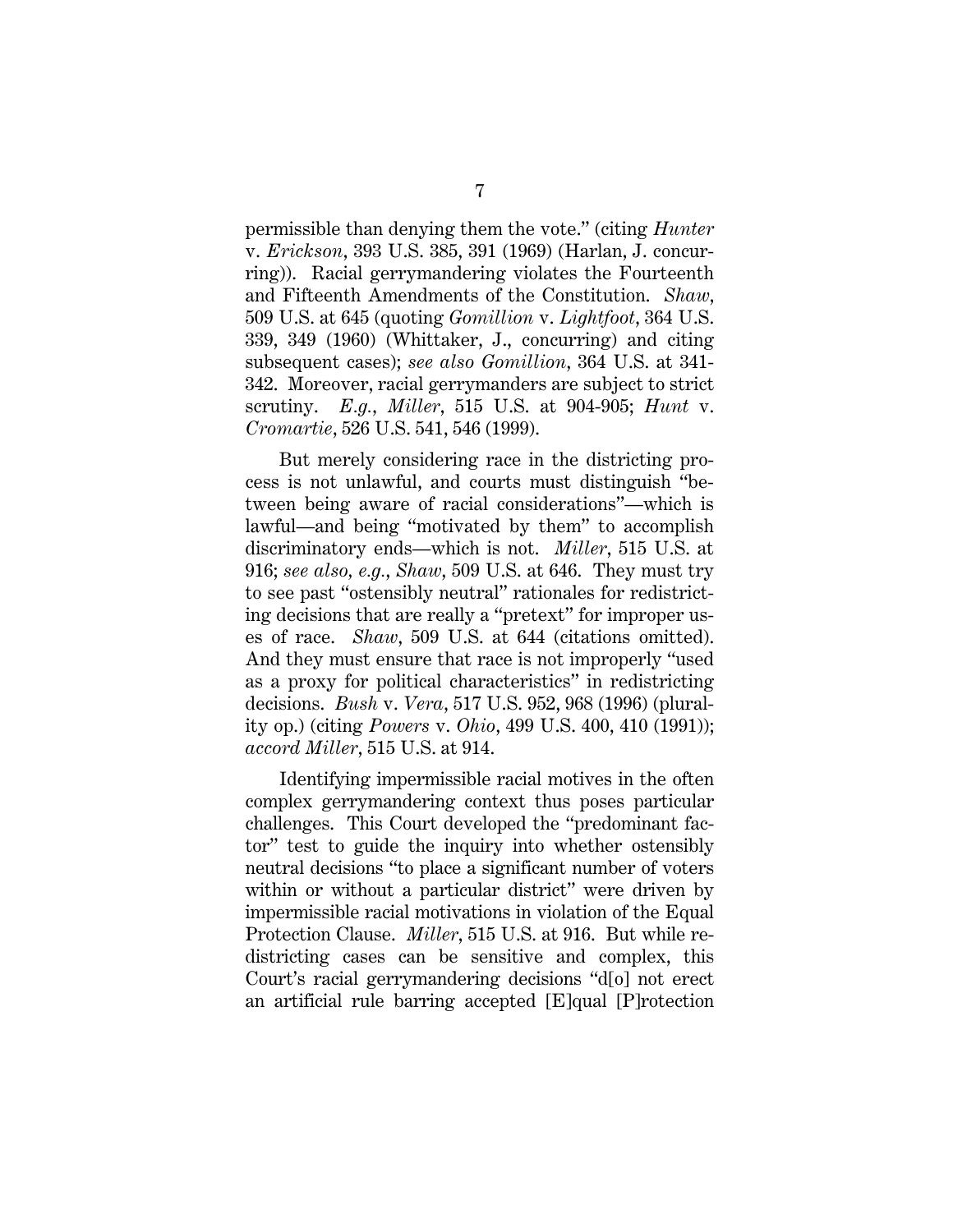permissible than denying them the vote." (citing *Hunter*  v. *Erickson*, 393 U.S. 385, 391 (1969) (Harlan, J. concurring)). Racial gerrymandering violates the Fourteenth and Fifteenth Amendments of the Constitution. *Shaw*, 509 U.S. at 645 (quoting *Gomillion* v. *Lightfoot*, 364 U.S. 339, 349 (1960) (Whittaker, J., concurring) and citing subsequent cases); *see also Gomillion*, 364 U.S. at 341- 342. Moreover, racial gerrymanders are subject to strict scrutiny. *E.g.*, *Miller*, 515 U.S. at 904-905; *Hunt* v. *Cromartie*, 526 U.S. 541, 546 (1999).

But merely considering race in the districting process is not unlawful, and courts must distinguish "between being aware of racial considerations"—which is lawful—and being "motivated by them" to accomplish discriminatory ends—which is not. *Miller*, 515 U.S. at 916; *see also, e.g.*, *Shaw*, 509 U.S. at 646. They must try to see past "ostensibly neutral" rationales for redistricting decisions that are really a "pretext" for improper uses of race. *Shaw*, 509 U.S. at 644 (citations omitted). And they must ensure that race is not improperly "used as a proxy for political characteristics" in redistricting decisions. *Bush* v. *Vera*, 517 U.S. 952, 968 (1996) (plurality op.) (citing *Powers* v. *Ohio*, 499 U.S. 400, 410 (1991)); *accord Miller*, 515 U.S. at 914.

Identifying impermissible racial motives in the often complex gerrymandering context thus poses particular challenges. This Court developed the "predominant factor" test to guide the inquiry into whether ostensibly neutral decisions "to place a significant number of voters within or without a particular district" were driven by impermissible racial motivations in violation of the Equal Protection Clause. *Miller*, 515 U.S. at 916. But while redistricting cases can be sensitive and complex, this Court's racial gerrymandering decisions "d[o] not erect an artificial rule barring accepted [E]qual [P]rotection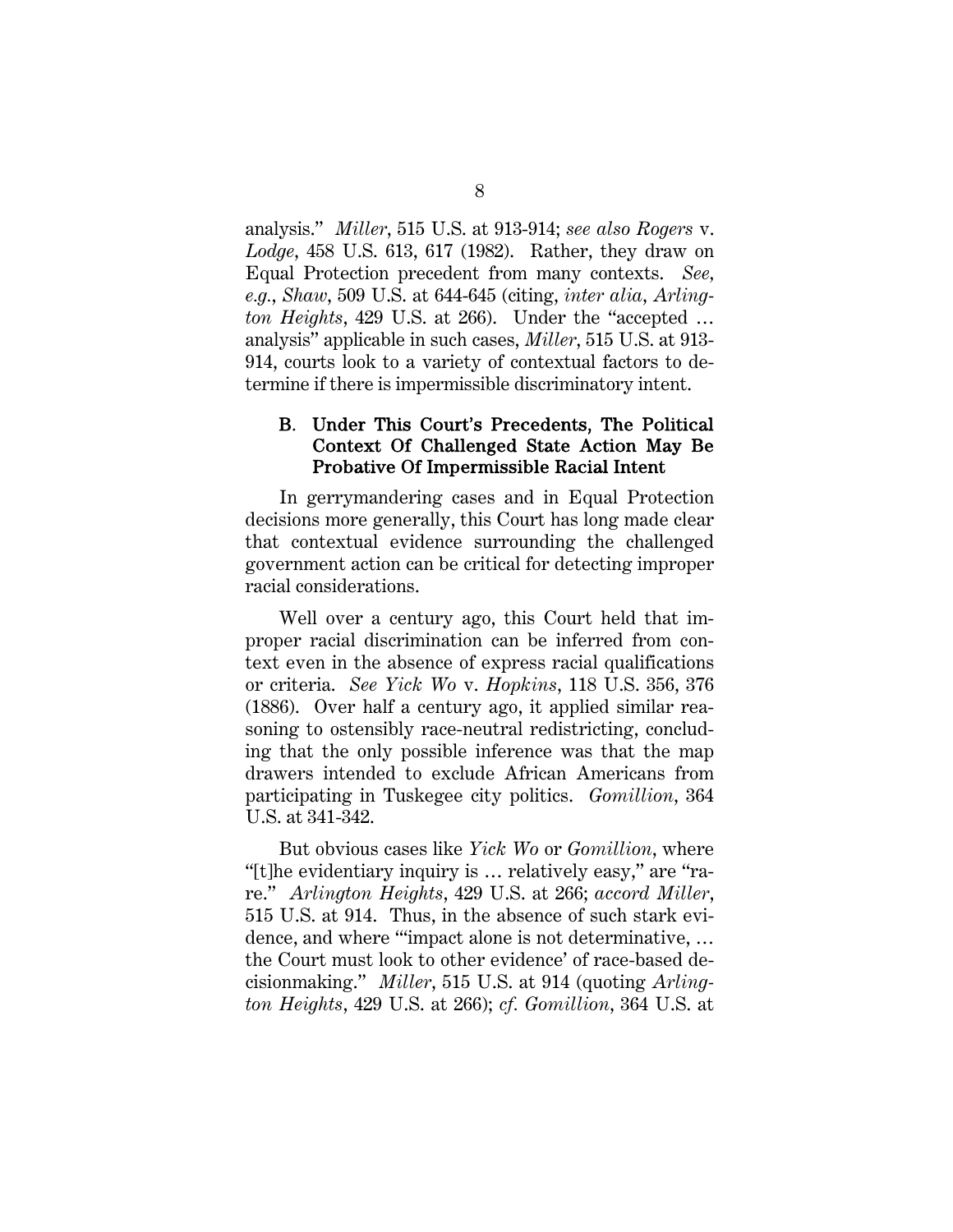analysis." *Miller*, 515 U.S. at 913-914; *see also Rogers* v. *Lodge*, 458 U.S. 613, 617 (1982). Rather, they draw on Equal Protection precedent from many contexts. *See, e.g.*, *Shaw*, 509 U.S. at 644-645 (citing, *inter alia*, *Arlington Heights*, 429 U.S. at 266). Under the "accepted … analysis" applicable in such cases, *Miller*, 515 U.S. at 913- 914, courts look to a variety of contextual factors to determine if there is impermissible discriminatory intent.

#### B. Under This Court's Precedents, The Political Context Of Challenged State Action May Be Probative Of Impermissible Racial Intent

In gerrymandering cases and in Equal Protection decisions more generally, this Court has long made clear that contextual evidence surrounding the challenged government action can be critical for detecting improper racial considerations.

Well over a century ago, this Court held that improper racial discrimination can be inferred from context even in the absence of express racial qualifications or criteria. *See Yick Wo* v. *Hopkins*, 118 U.S. 356, 376 (1886). Over half a century ago, it applied similar reasoning to ostensibly race-neutral redistricting, concluding that the only possible inference was that the map drawers intended to exclude African Americans from participating in Tuskegee city politics. *Gomillion*, 364 U.S. at 341-342.

But obvious cases like *Yick Wo* or *Gomillion*, where "[t]he evidentiary inquiry is … relatively easy," are "rare." *Arlington Heights*, 429 U.S. at 266; *accord Miller*, 515 U.S. at 914. Thus, in the absence of such stark evidence, and where "'impact alone is not determinative, … the Court must look to other evidence' of race-based decisionmaking." *Miller*, 515 U.S. at 914 (quoting *Arlington Heights*, 429 U.S. at 266); *cf. Gomillion*, 364 U.S. at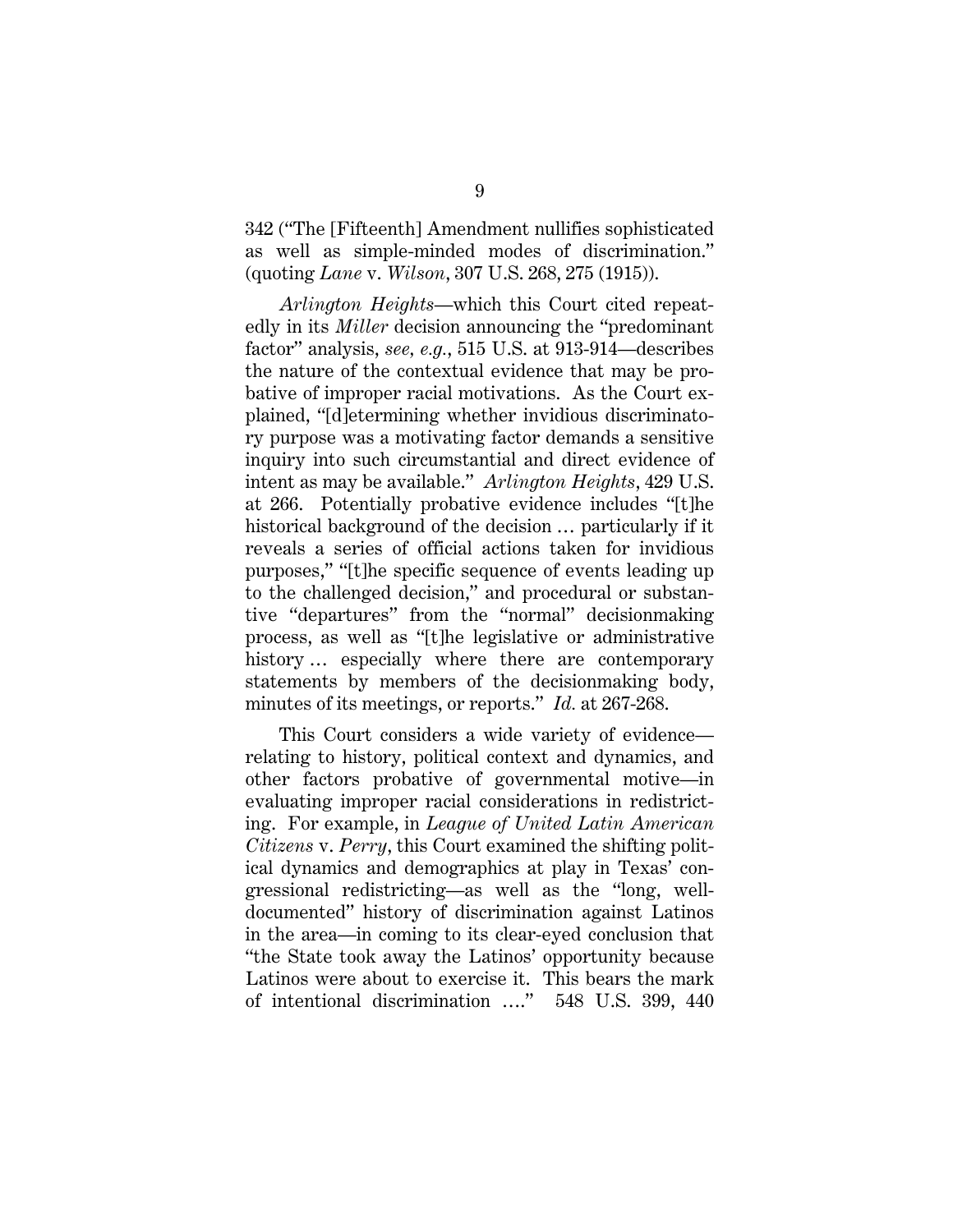342 ("The [Fifteenth] Amendment nullifies sophisticated as well as simple-minded modes of discrimination." (quoting *Lane* v. *Wilson*, 307 U.S. 268, 275 (1915)).

*Arlington Heights*—which this Court cited repeatedly in its *Miller* decision announcing the "predominant factor" analysis, *see, e.g.*, 515 U.S. at 913-914—describes the nature of the contextual evidence that may be probative of improper racial motivations. As the Court explained, "[d]etermining whether invidious discriminatory purpose was a motivating factor demands a sensitive inquiry into such circumstantial and direct evidence of intent as may be available." *Arlington Heights*, 429 U.S. at 266. Potentially probative evidence includes "[t]he historical background of the decision  $\ldots$  particularly if it reveals a series of official actions taken for invidious purposes," "[t]he specific sequence of events leading up to the challenged decision," and procedural or substantive "departures" from the "normal" decisionmaking process, as well as "[t]he legislative or administrative history ... especially where there are contemporary statements by members of the decisionmaking body, minutes of its meetings, or reports." *Id.* at 267-268.

This Court considers a wide variety of evidence relating to history, political context and dynamics, and other factors probative of governmental motive—in evaluating improper racial considerations in redistricting. For example, in *League of United Latin American Citizens* v. *Perry*, this Court examined the shifting political dynamics and demographics at play in Texas' congressional redistricting—as well as the "long, welldocumented" history of discrimination against Latinos in the area—in coming to its clear-eyed conclusion that "the State took away the Latinos' opportunity because Latinos were about to exercise it. This bears the mark of intentional discrimination …." 548 U.S. 399, 440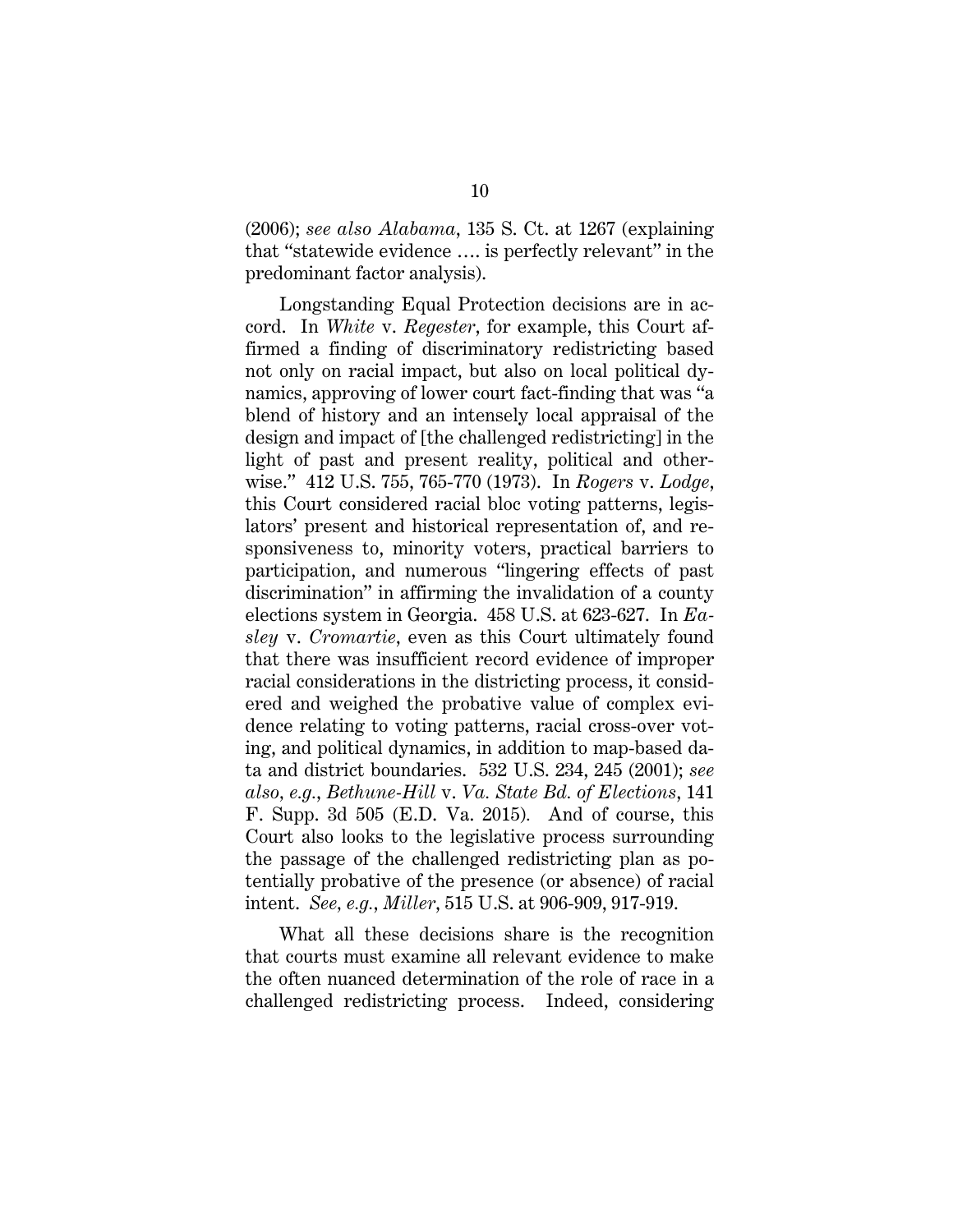(2006); *see also Alabama*, 135 S. Ct. at 1267 (explaining that "statewide evidence …. is perfectly relevant" in the predominant factor analysis).

Longstanding Equal Protection decisions are in accord. In *White* v. *Regester*, for example, this Court affirmed a finding of discriminatory redistricting based not only on racial impact, but also on local political dynamics, approving of lower court fact-finding that was "a blend of history and an intensely local appraisal of the design and impact of [the challenged redistricting] in the light of past and present reality, political and otherwise." 412 U.S. 755, 765-770 (1973). In *Rogers* v. *Lodge*, this Court considered racial bloc voting patterns, legislators' present and historical representation of, and responsiveness to, minority voters, practical barriers to participation, and numerous "lingering effects of past discrimination" in affirming the invalidation of a county elections system in Georgia. 458 U.S. at 623-627. In *Easley* v. *Cromartie*, even as this Court ultimately found that there was insufficient record evidence of improper racial considerations in the districting process, it considered and weighed the probative value of complex evidence relating to voting patterns, racial cross-over voting, and political dynamics, in addition to map-based data and district boundaries. 532 U.S. 234, 245 (2001); *see also, e.g.*, *Bethune-Hill* v. *Va. State Bd. of Elections*, 141 F. Supp. 3d 505 (E.D. Va. 2015)*.* And of course, this Court also looks to the legislative process surrounding the passage of the challenged redistricting plan as potentially probative of the presence (or absence) of racial intent. *See, e.g.*, *Miller*, 515 U.S. at 906-909, 917-919.

What all these decisions share is the recognition that courts must examine all relevant evidence to make the often nuanced determination of the role of race in a challenged redistricting process. Indeed, considering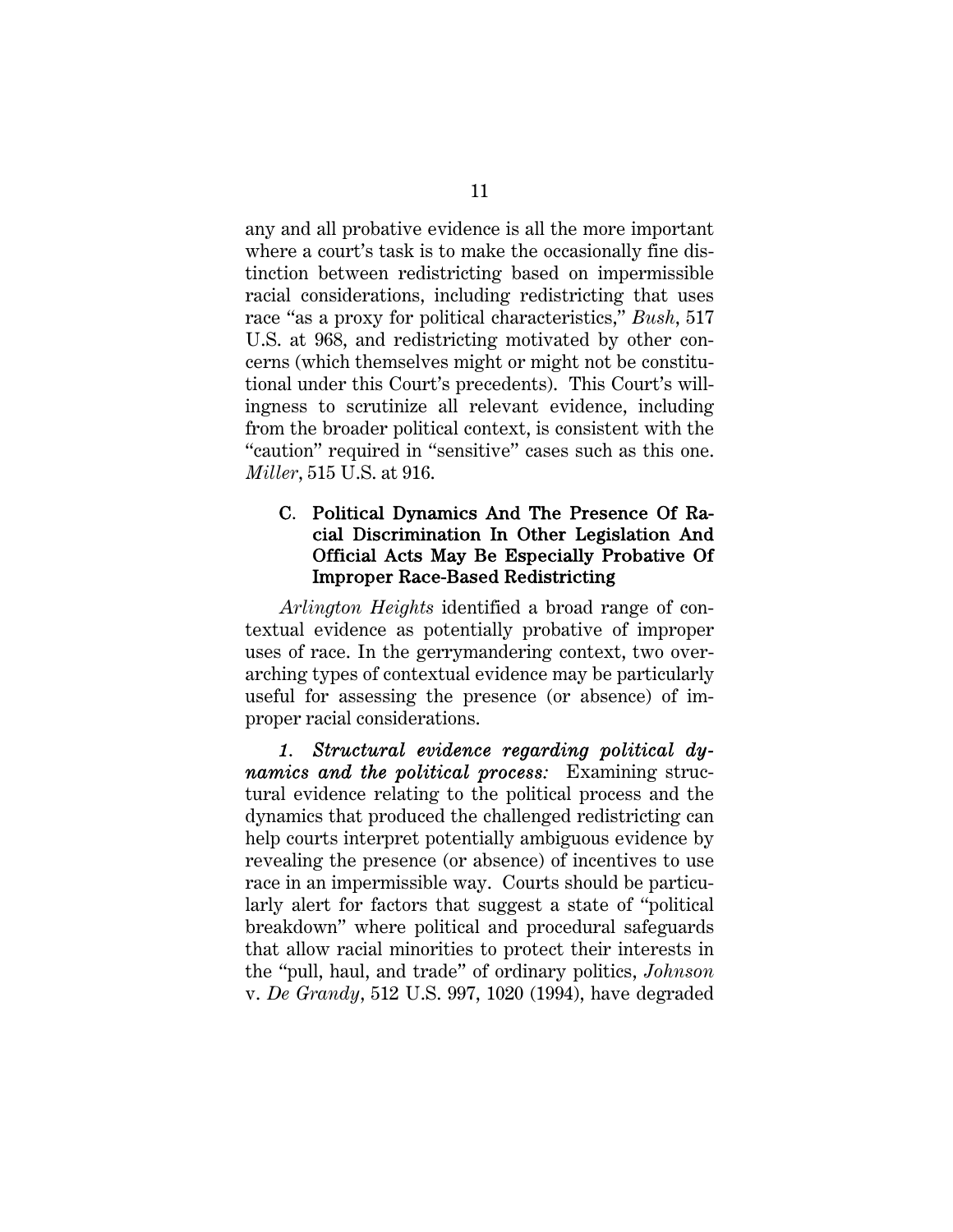any and all probative evidence is all the more important where a court's task is to make the occasionally fine distinction between redistricting based on impermissible racial considerations, including redistricting that uses race "as a proxy for political characteristics," *Bush*, 517 U.S. at 968, and redistricting motivated by other concerns (which themselves might or might not be constitutional under this Court's precedents). This Court's willingness to scrutinize all relevant evidence, including from the broader political context, is consistent with the "caution" required in "sensitive" cases such as this one. *Miller*, 515 U.S. at 916.

#### C. Political Dynamics And The Presence Of Racial Discrimination In Other Legislation And Official Acts May Be Especially Probative Of Improper Race-Based Redistricting

*Arlington Heights* identified a broad range of contextual evidence as potentially probative of improper uses of race. In the gerrymandering context, two overarching types of contextual evidence may be particularly useful for assessing the presence (or absence) of improper racial considerations.

*1. Structural evidence regarding political dynamics and the political process:* Examining structural evidence relating to the political process and the dynamics that produced the challenged redistricting can help courts interpret potentially ambiguous evidence by revealing the presence (or absence) of incentives to use race in an impermissible way. Courts should be particularly alert for factors that suggest a state of "political breakdown" where political and procedural safeguards that allow racial minorities to protect their interests in the "pull, haul, and trade" of ordinary politics, *Johnson*  v. *De Grandy*, 512 U.S. 997, 1020 (1994), have degraded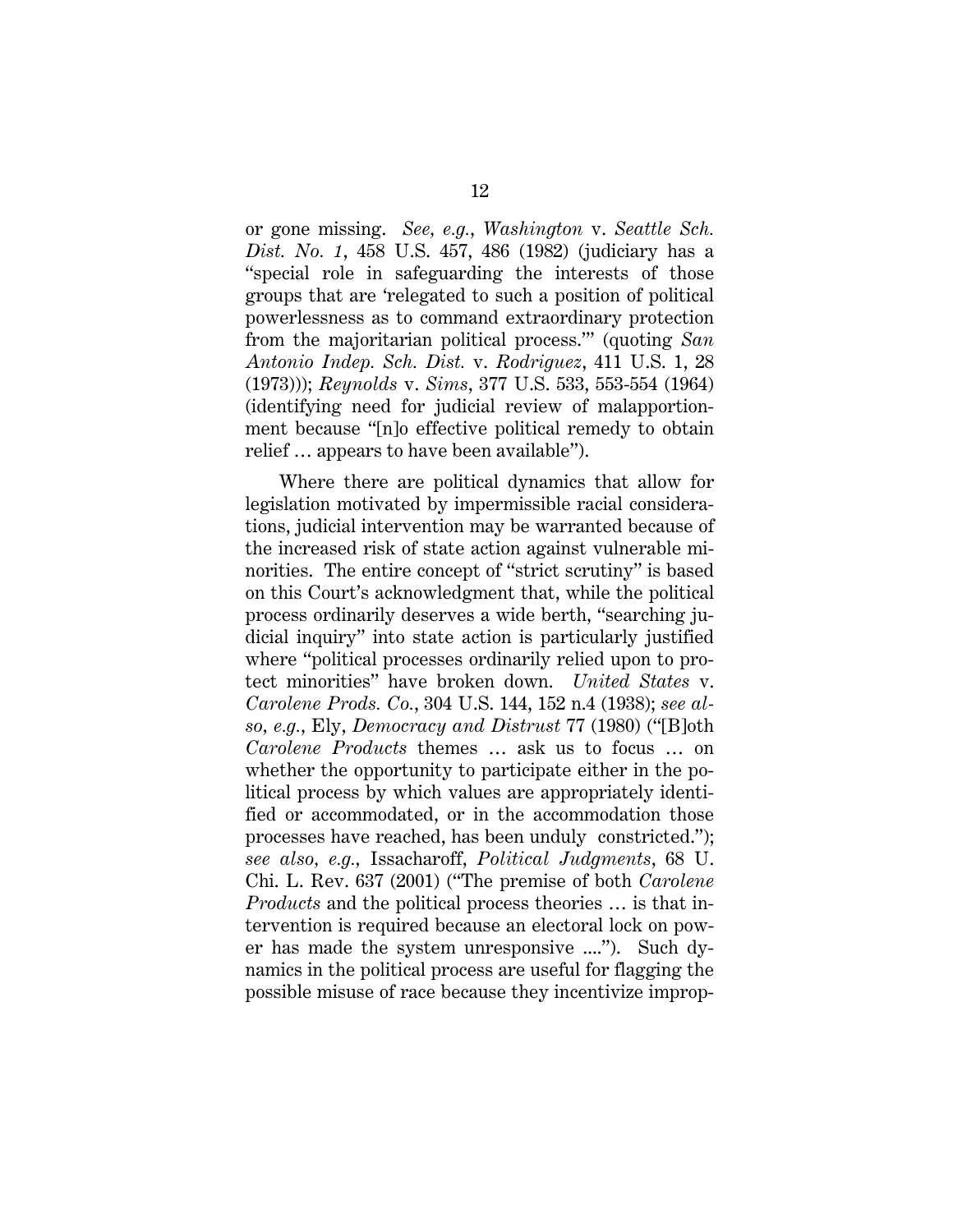or gone missing. *See, e.g.*, *Washington* v. *Seattle Sch. Dist. No. 1*, 458 U.S. 457, 486 (1982) (judiciary has a "special role in safeguarding the interests of those groups that are 'relegated to such a position of political powerlessness as to command extraordinary protection from the majoritarian political process.'" (quoting *San Antonio Indep. Sch. Dist.* v. *Rodriguez*, 411 U.S. 1, 28 (1973))); *Reynolds* v. *Sims*, 377 U.S. 533, 553-554 (1964) (identifying need for judicial review of malapportionment because "[n]o effective political remedy to obtain relief … appears to have been available").

Where there are political dynamics that allow for legislation motivated by impermissible racial considerations, judicial intervention may be warranted because of the increased risk of state action against vulnerable minorities. The entire concept of "strict scrutiny" is based on this Court's acknowledgment that, while the political process ordinarily deserves a wide berth, "searching judicial inquiry" into state action is particularly justified where "political processes ordinarily relied upon to protect minorities" have broken down. *United States* v. *Carolene Prods. Co.*, 304 U.S. 144, 152 n.4 (1938); *see also, e.g.*, Ely, *Democracy and Distrust* 77 (1980) ("[B]oth *Carolene Products* themes … ask us to focus … on whether the opportunity to participate either in the political process by which values are appropriately identified or accommodated, or in the accommodation those processes have reached, has been unduly constricted."); *see also, e.g.,* Issacharoff, *Political Judgments*, 68 U. Chi. L. Rev. 637 (2001) ("The premise of both *Carolene Products* and the political process theories … is that intervention is required because an electoral lock on power has made the system unresponsive ...."). Such dynamics in the political process are useful for flagging the possible misuse of race because they incentivize improp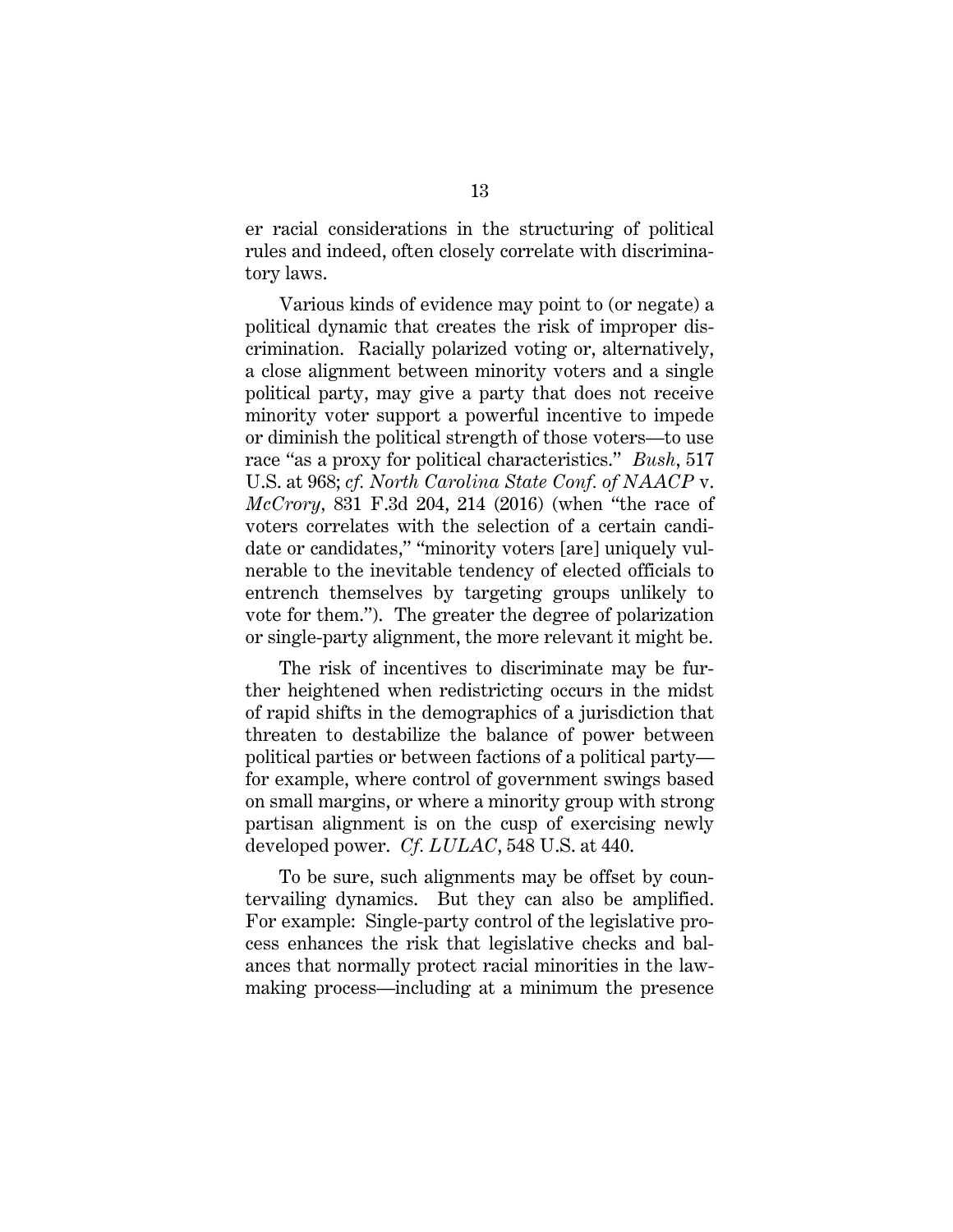er racial considerations in the structuring of political rules and indeed, often closely correlate with discriminatory laws.

Various kinds of evidence may point to (or negate) a political dynamic that creates the risk of improper discrimination. Racially polarized voting or, alternatively, a close alignment between minority voters and a single political party, may give a party that does not receive minority voter support a powerful incentive to impede or diminish the political strength of those voters—to use race "as a proxy for political characteristics." *Bush*, 517 U.S. at 968; *cf. North Carolina State Conf. of NAACP* v. *McCrory,* 831 F.3d 204, 214 (2016) (when "the race of voters correlates with the selection of a certain candidate or candidates," "minority voters [are] uniquely vulnerable to the inevitable tendency of elected officials to entrench themselves by targeting groups unlikely to vote for them."). The greater the degree of polarization or single-party alignment, the more relevant it might be.

The risk of incentives to discriminate may be further heightened when redistricting occurs in the midst of rapid shifts in the demographics of a jurisdiction that threaten to destabilize the balance of power between political parties or between factions of a political party for example, where control of government swings based on small margins, or where a minority group with strong partisan alignment is on the cusp of exercising newly developed power. *Cf. LULAC*, 548 U.S. at 440.

To be sure, such alignments may be offset by countervailing dynamics. But they can also be amplified. For example: Single-party control of the legislative process enhances the risk that legislative checks and balances that normally protect racial minorities in the lawmaking process—including at a minimum the presence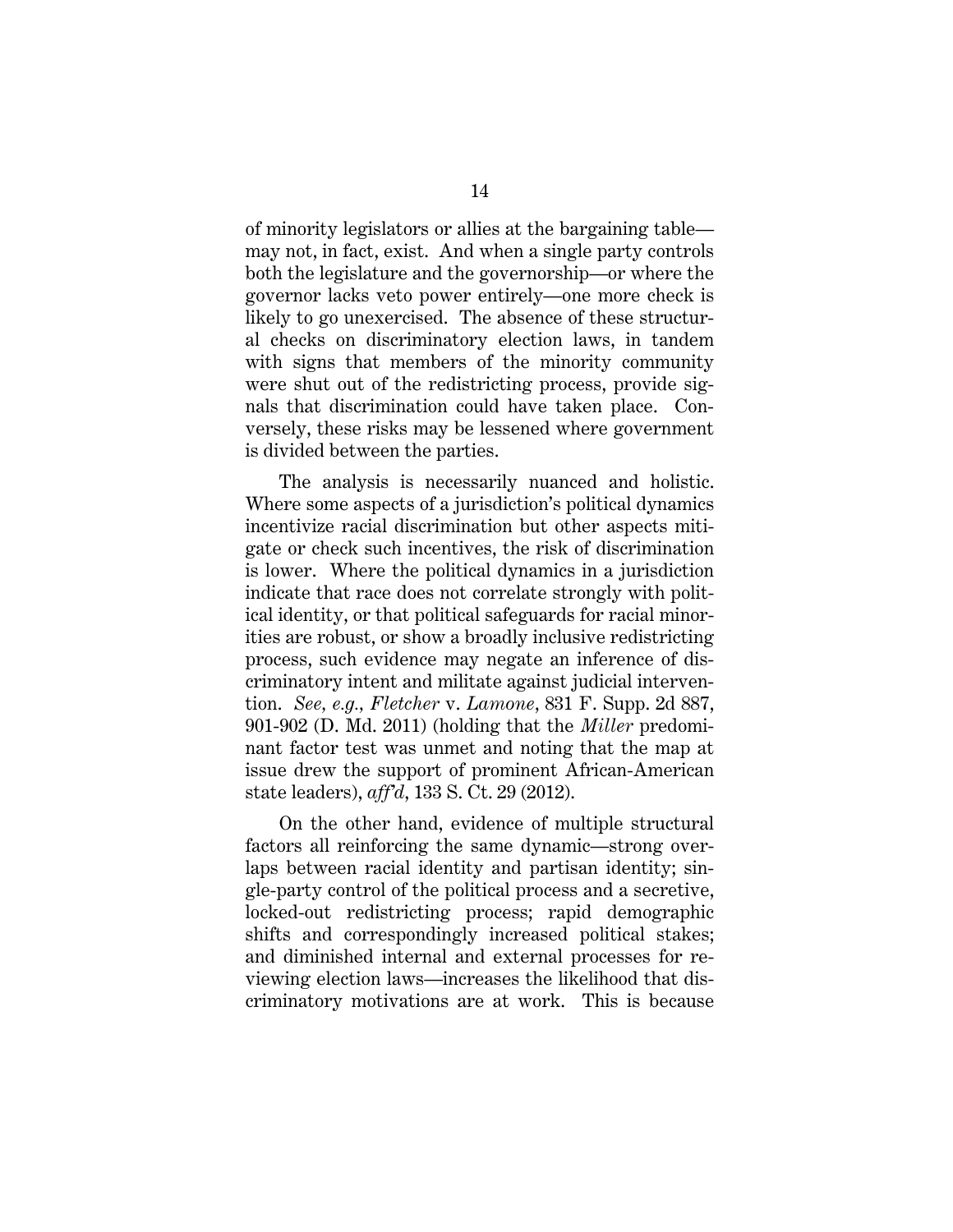of minority legislators or allies at the bargaining table may not, in fact, exist. And when a single party controls both the legislature and the governorship—or where the governor lacks veto power entirely—one more check is likely to go unexercised. The absence of these structural checks on discriminatory election laws, in tandem with signs that members of the minority community were shut out of the redistricting process, provide signals that discrimination could have taken place. Conversely, these risks may be lessened where government is divided between the parties.

The analysis is necessarily nuanced and holistic. Where some aspects of a jurisdiction's political dynamics incentivize racial discrimination but other aspects mitigate or check such incentives, the risk of discrimination is lower. Where the political dynamics in a jurisdiction indicate that race does not correlate strongly with political identity, or that political safeguards for racial minorities are robust, or show a broadly inclusive redistricting process, such evidence may negate an inference of discriminatory intent and militate against judicial intervention. *See, e.g., Fletcher* v. *Lamone*, 831 F. Supp. 2d 887, 901-902 (D. Md. 2011) (holding that the *Miller* predominant factor test was unmet and noting that the map at issue drew the support of prominent African-American state leaders), *aff'd*, 133 S. Ct. 29 (2012).

On the other hand, evidence of multiple structural factors all reinforcing the same dynamic—strong overlaps between racial identity and partisan identity; single-party control of the political process and a secretive, locked-out redistricting process; rapid demographic shifts and correspondingly increased political stakes; and diminished internal and external processes for reviewing election laws—increases the likelihood that discriminatory motivations are at work. This is because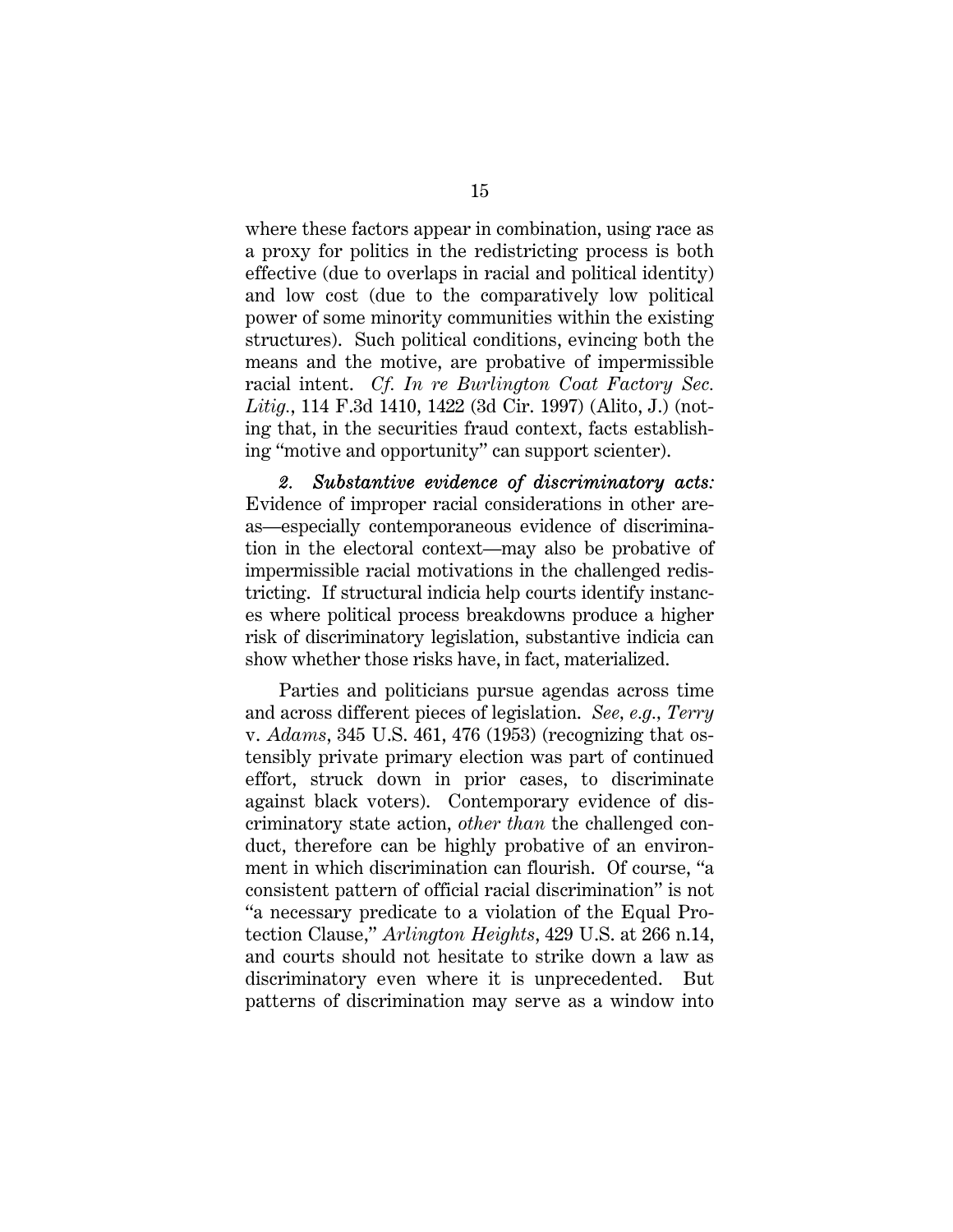where these factors appear in combination, using race as a proxy for politics in the redistricting process is both effective (due to overlaps in racial and political identity) and low cost (due to the comparatively low political power of some minority communities within the existing structures). Such political conditions, evincing both the means and the motive, are probative of impermissible racial intent. *Cf. In re Burlington Coat Factory Sec. Litig.*, 114 F.3d 1410, 1422 (3d Cir. 1997) (Alito, J.) (noting that, in the securities fraud context, facts establishing "motive and opportunity" can support scienter).

*2. Substantive evidence of discriminatory acts:*  Evidence of improper racial considerations in other areas—especially contemporaneous evidence of discrimination in the electoral context—may also be probative of impermissible racial motivations in the challenged redistricting. If structural indicia help courts identify instances where political process breakdowns produce a higher risk of discriminatory legislation, substantive indicia can show whether those risks have, in fact, materialized.

Parties and politicians pursue agendas across time and across different pieces of legislation. *See, e.g., Terry*  v. *Adams*, 345 U.S. 461, 476 (1953) (recognizing that ostensibly private primary election was part of continued effort, struck down in prior cases, to discriminate against black voters). Contemporary evidence of discriminatory state action, *other than* the challenged conduct, therefore can be highly probative of an environment in which discrimination can flourish. Of course, "a consistent pattern of official racial discrimination" is not "a necessary predicate to a violation of the Equal Protection Clause," *Arlington Heights*, 429 U.S. at 266 n.14, and courts should not hesitate to strike down a law as discriminatory even where it is unprecedented. But patterns of discrimination may serve as a window into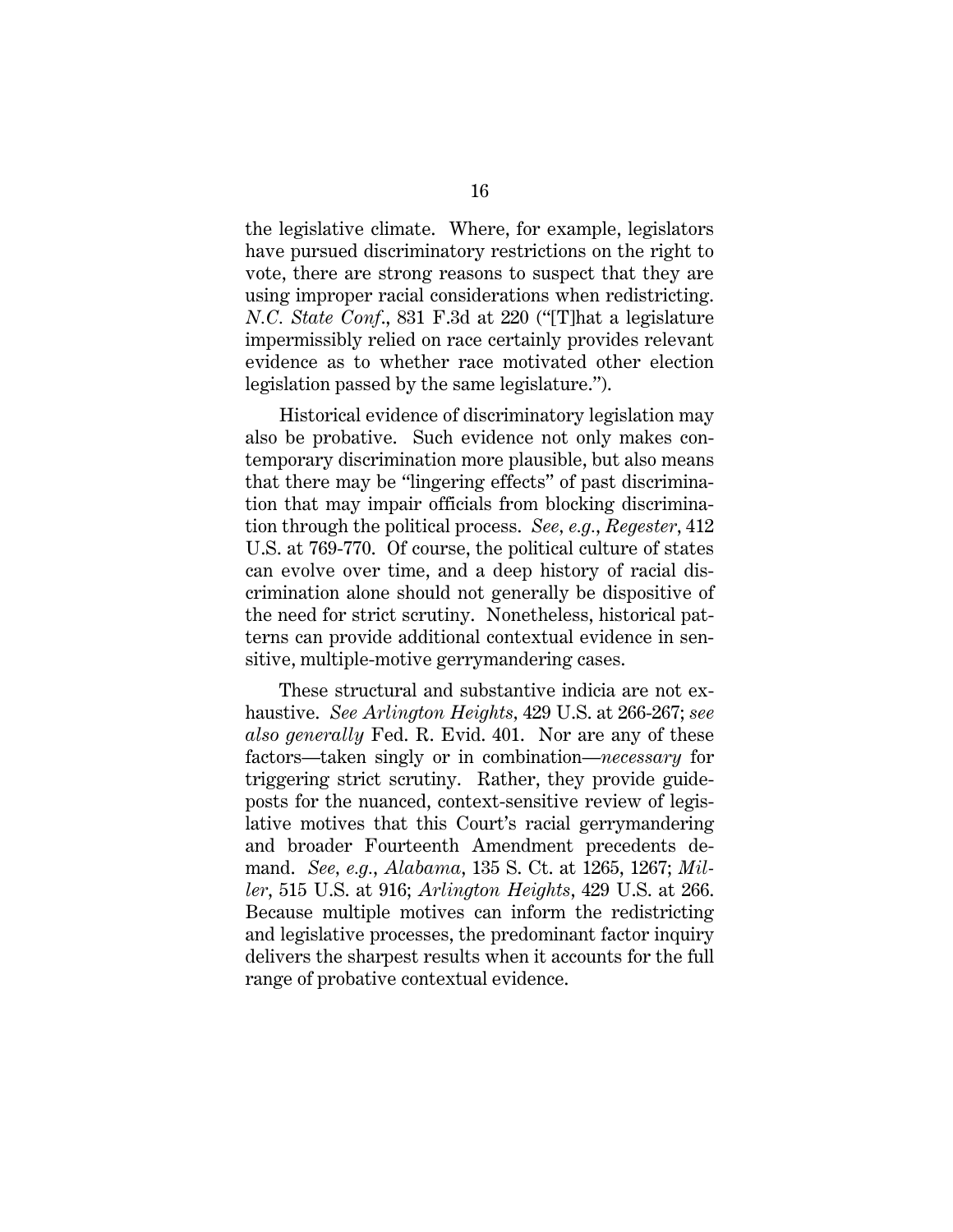the legislative climate. Where, for example, legislators have pursued discriminatory restrictions on the right to vote, there are strong reasons to suspect that they are using improper racial considerations when redistricting. *N.C. State Conf*., 831 F.3d at 220 ("[T]hat a legislature impermissibly relied on race certainly provides relevant evidence as to whether race motivated other election legislation passed by the same legislature.").

Historical evidence of discriminatory legislation may also be probative. Such evidence not only makes contemporary discrimination more plausible, but also means that there may be "lingering effects" of past discrimination that may impair officials from blocking discrimination through the political process. *See, e.g.*, *Regester*, 412 U.S. at 769-770. Of course, the political culture of states can evolve over time, and a deep history of racial discrimination alone should not generally be dispositive of the need for strict scrutiny. Nonetheless, historical patterns can provide additional contextual evidence in sensitive, multiple-motive gerrymandering cases.

These structural and substantive indicia are not exhaustive. *See Arlington Heights,* 429 U.S. at 266-267; *see also generally* Fed. R. Evid. 401. Nor are any of these factors—taken singly or in combination—*necessary* for triggering strict scrutiny. Rather, they provide guideposts for the nuanced, context-sensitive review of legislative motives that this Court's racial gerrymandering and broader Fourteenth Amendment precedents demand. *See, e.g.*, *Alabama*, 135 S. Ct. at 1265, 1267; *Miller*, 515 U.S. at 916; *Arlington Heights*, 429 U.S. at 266. Because multiple motives can inform the redistricting and legislative processes, the predominant factor inquiry delivers the sharpest results when it accounts for the full range of probative contextual evidence.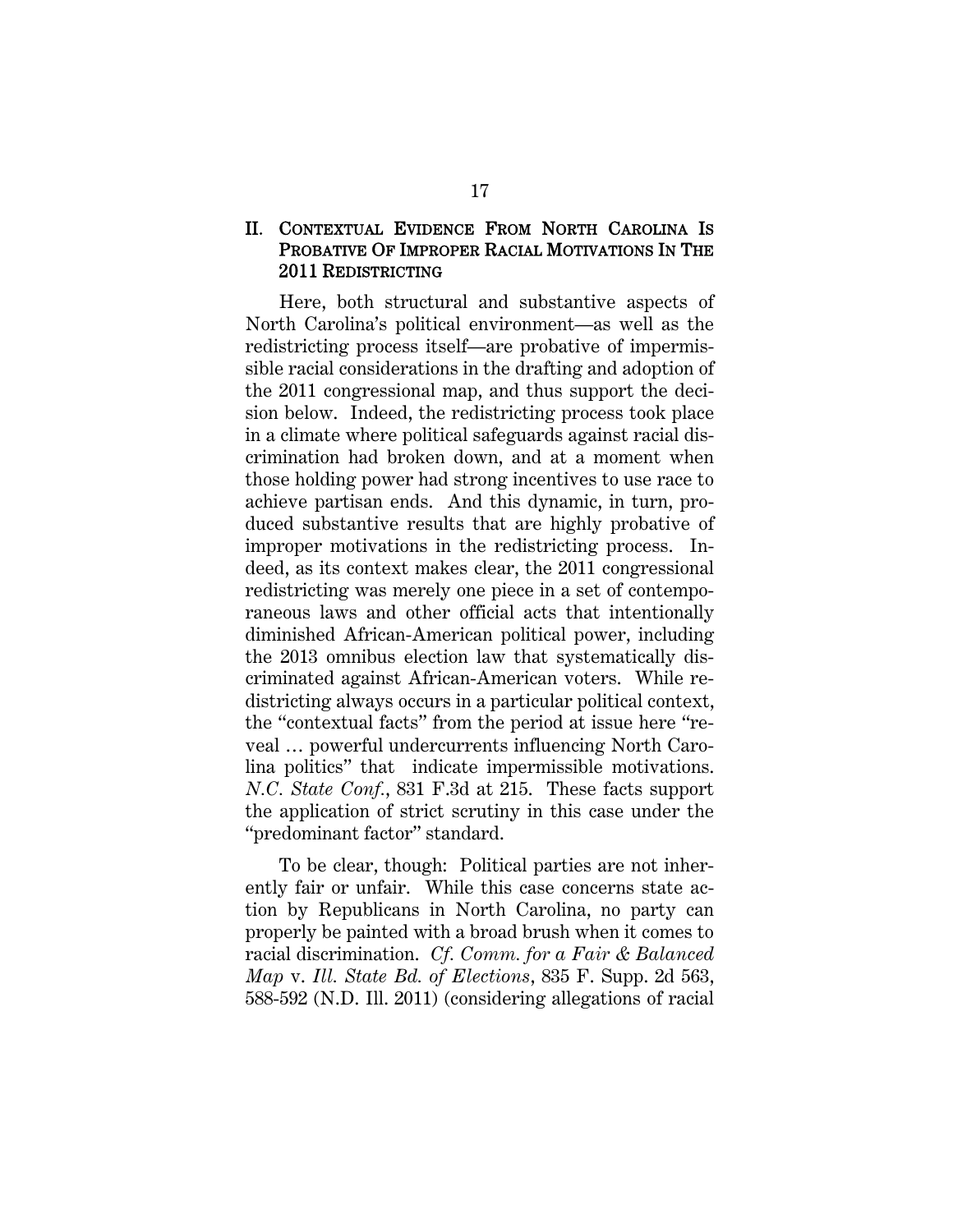#### II. CONTEXTUAL EVIDENCE FROM NORTH CAROLINA IS PROBATIVE OF IMPROPER RACIAL MOTIVATIONS IN THE 2011 REDISTRICTING

Here, both structural and substantive aspects of North Carolina's political environment—as well as the redistricting process itself—are probative of impermissible racial considerations in the drafting and adoption of the 2011 congressional map, and thus support the decision below. Indeed, the redistricting process took place in a climate where political safeguards against racial discrimination had broken down, and at a moment when those holding power had strong incentives to use race to achieve partisan ends. And this dynamic, in turn, produced substantive results that are highly probative of improper motivations in the redistricting process. Indeed, as its context makes clear, the 2011 congressional redistricting was merely one piece in a set of contemporaneous laws and other official acts that intentionally diminished African-American political power, including the 2013 omnibus election law that systematically discriminated against African-American voters. While redistricting always occurs in a particular political context, the "contextual facts" from the period at issue here "reveal … powerful undercurrents influencing North Carolina politics" that indicate impermissible motivations. *N.C. State Conf.*, 831 F.3d at 215. These facts support the application of strict scrutiny in this case under the "predominant factor" standard.

To be clear, though: Political parties are not inherently fair or unfair. While this case concerns state action by Republicans in North Carolina, no party can properly be painted with a broad brush when it comes to racial discrimination. *Cf. Comm. for a Fair & Balanced Map* v. *Ill. State Bd. of Elections*, 835 F. Supp. 2d 563, 588-592 (N.D. Ill. 2011) (considering allegations of racial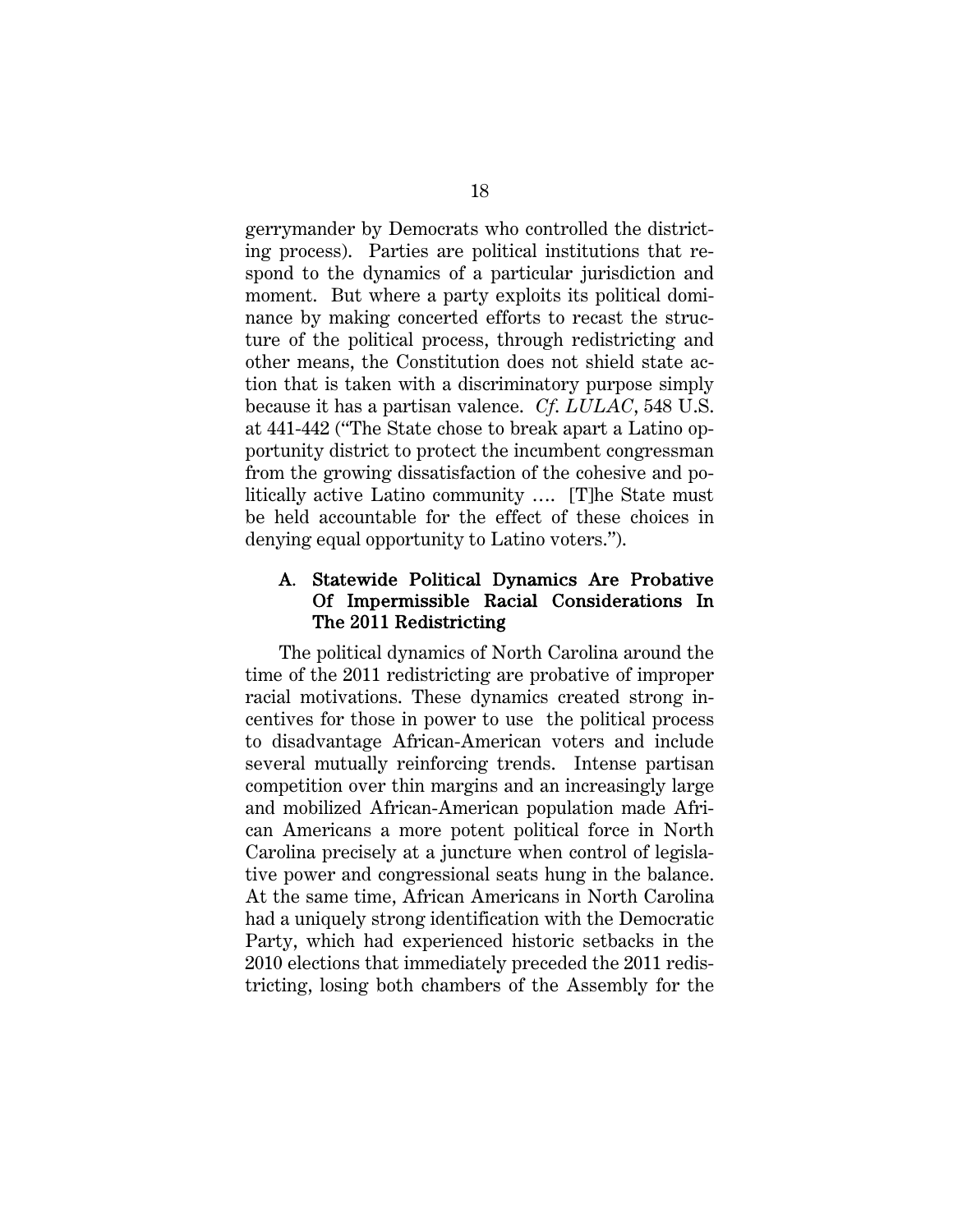gerrymander by Democrats who controlled the districting process). Parties are political institutions that respond to the dynamics of a particular jurisdiction and moment. But where a party exploits its political dominance by making concerted efforts to recast the structure of the political process, through redistricting and other means, the Constitution does not shield state action that is taken with a discriminatory purpose simply because it has a partisan valence. *Cf*. *LULAC*, 548 U.S. at 441-442 ("The State chose to break apart a Latino opportunity district to protect the incumbent congressman from the growing dissatisfaction of the cohesive and politically active Latino community …. [T]he State must be held accountable for the effect of these choices in denying equal opportunity to Latino voters.").

#### A. Statewide Political Dynamics Are Probative Of Impermissible Racial Considerations In The 2011 Redistricting

The political dynamics of North Carolina around the time of the 2011 redistricting are probative of improper racial motivations. These dynamics created strong incentives for those in power to use the political process to disadvantage African-American voters and include several mutually reinforcing trends. Intense partisan competition over thin margins and an increasingly large and mobilized African-American population made African Americans a more potent political force in North Carolina precisely at a juncture when control of legislative power and congressional seats hung in the balance. At the same time, African Americans in North Carolina had a uniquely strong identification with the Democratic Party, which had experienced historic setbacks in the 2010 elections that immediately preceded the 2011 redistricting, losing both chambers of the Assembly for the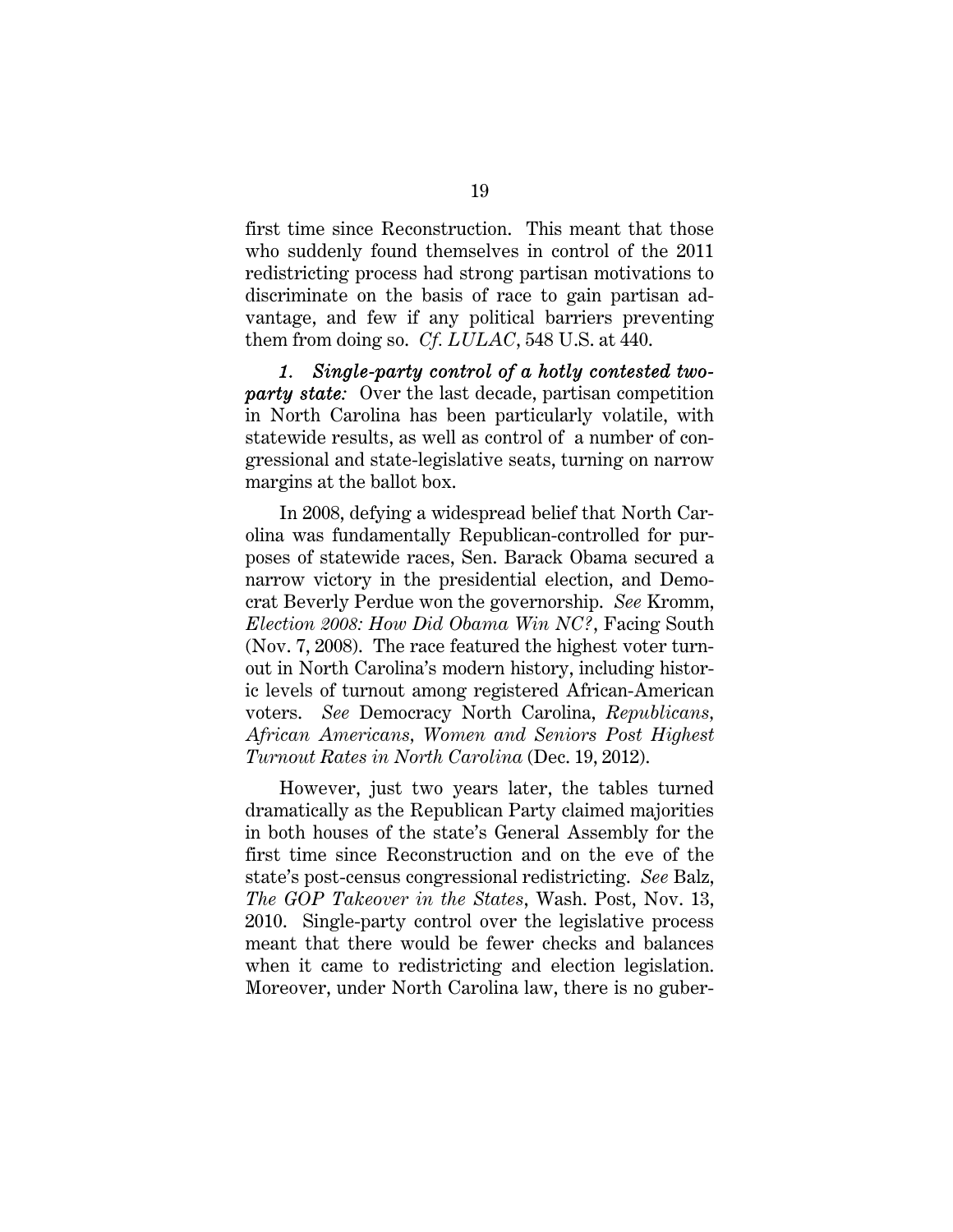first time since Reconstruction. This meant that those who suddenly found themselves in control of the 2011 redistricting process had strong partisan motivations to discriminate on the basis of race to gain partisan advantage, and few if any political barriers preventing them from doing so. *Cf. LULAC*, 548 U.S. at 440.

*1. Single-party control of a hotly contested twoparty state:* Over the last decade, partisan competition in North Carolina has been particularly volatile, with statewide results, as well as control of a number of congressional and state-legislative seats, turning on narrow margins at the ballot box.

In 2008, defying a widespread belief that North Carolina was fundamentally Republican-controlled for purposes of statewide races, Sen. Barack Obama secured a narrow victory in the presidential election, and Democrat Beverly Perdue won the governorship. *See* Kromm, *Election 2008: How Did Obama Win NC?*, Facing South (Nov. 7, 2008). The race featured the highest voter turnout in North Carolina's modern history, including historic levels of turnout among registered African-American voters. *See* Democracy North Carolina, *Republicans, African Americans, Women and Seniors Post Highest Turnout Rates in North Carolina* (Dec. 19, 2012).

However, just two years later, the tables turned dramatically as the Republican Party claimed majorities in both houses of the state's General Assembly for the first time since Reconstruction and on the eve of the state's post-census congressional redistricting. *See* Balz, *The GOP Takeover in the States*, Wash. Post, Nov. 13, 2010. Single-party control over the legislative process meant that there would be fewer checks and balances when it came to redistricting and election legislation. Moreover, under North Carolina law, there is no guber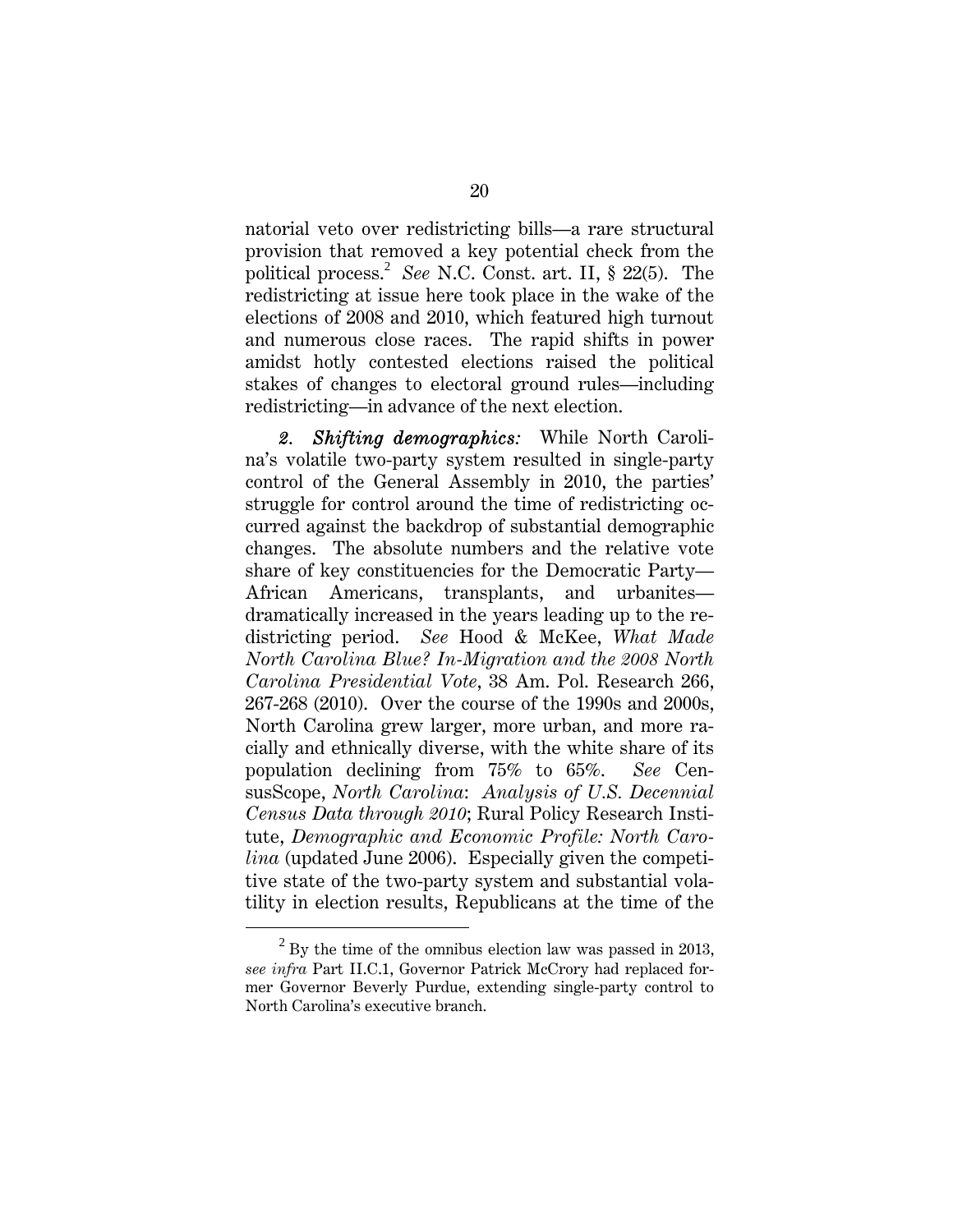natorial veto over redistricting bills—a rare structural provision that removed a key potential check from the political process.<sup>2</sup> See N.C. Const. art. II, § 22(5). The redistricting at issue here took place in the wake of the elections of 2008 and 2010, which featured high turnout and numerous close races. The rapid shifts in power amidst hotly contested elections raised the political stakes of changes to electoral ground rules—including redistricting—in advance of the next election.

*2. Shifting demographics:* While North Carolina's volatile two-party system resulted in single-party control of the General Assembly in 2010, the parties' struggle for control around the time of redistricting occurred against the backdrop of substantial demographic changes. The absolute numbers and the relative vote share of key constituencies for the Democratic Party— African Americans, transplants, and urbanites dramatically increased in the years leading up to the redistricting period. *See* Hood & McKee, *What Made North Carolina Blue? In-Migration and the 2008 North Carolina Presidential Vote*, 38 Am. Pol. Research 266, 267-268 (2010). Over the course of the 1990s and 2000s, North Carolina grew larger, more urban, and more racially and ethnically diverse, with the white share of its population declining from 75% to 65%. *See* CensusScope, *North Carolina*: *Analysis of U.S. Decennial Census Data through 2010*; Rural Policy Research Institute, *Demographic and Economic Profile: North Carolina* (updated June 2006). Especially given the competitive state of the two-party system and substantial volatility in election results, Republicans at the time of the

<sup>2</sup>  $^{2}$  By the time of the omnibus election law was passed in 2013, *see infra* Part II.C.1, Governor Patrick McCrory had replaced former Governor Beverly Purdue, extending single-party control to North Carolina's executive branch.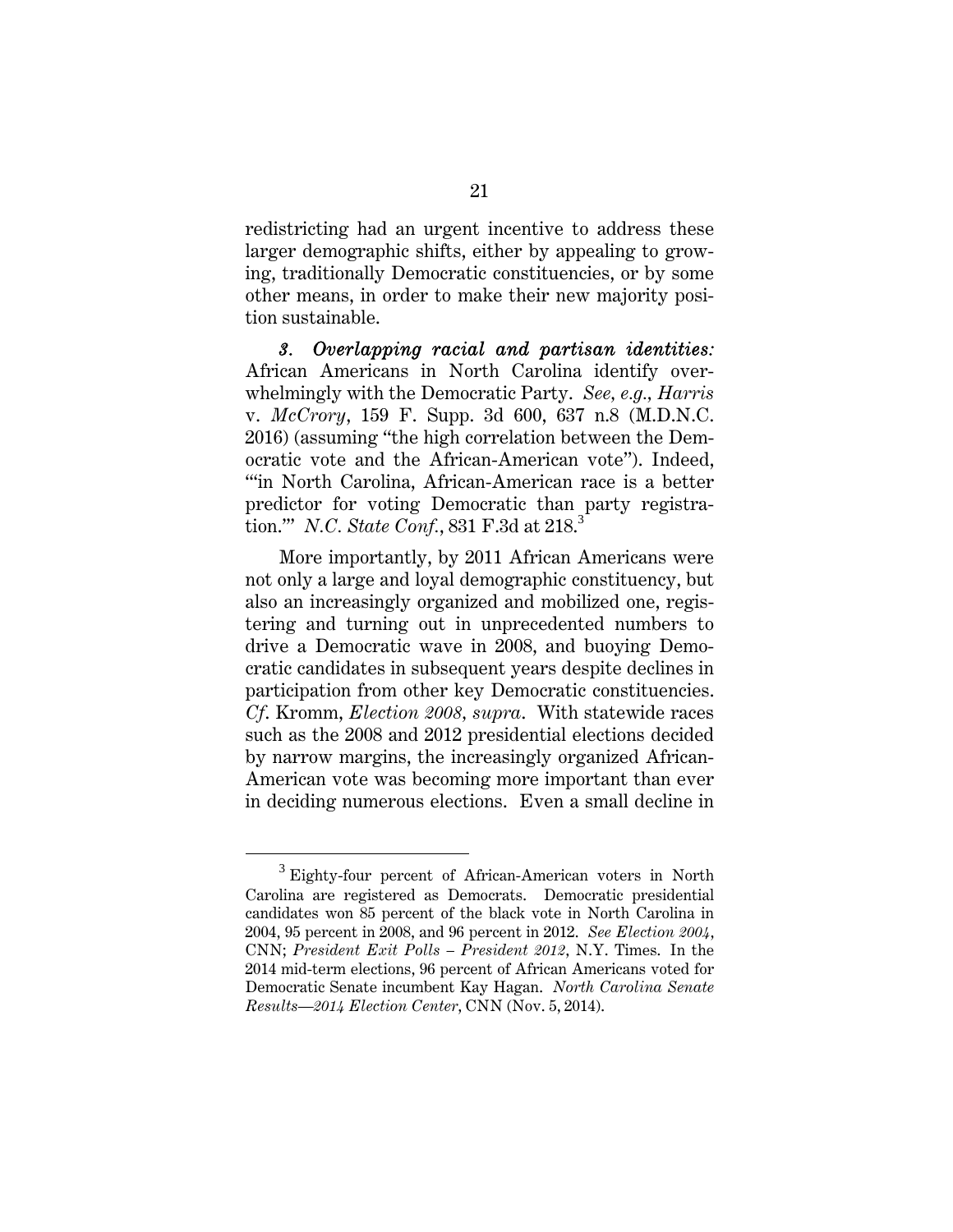redistricting had an urgent incentive to address these larger demographic shifts, either by appealing to growing, traditionally Democratic constituencies, or by some other means, in order to make their new majority position sustainable.

*3. Overlapping racial and partisan identities:*  African Americans in North Carolina identify overwhelmingly with the Democratic Party. *See, e.g., Harris*  v. *McCrory*, 159 F. Supp. 3d 600, 637 n.8 (M.D.N.C. 2016) (assuming "the high correlation between the Democratic vote and the African-American vote"). Indeed, "'in North Carolina, African-American race is a better predictor for voting Democratic than party registration.'" *N.C. State Conf.*, 831 F.3d at 218.<sup>3</sup>

More importantly, by 2011 African Americans were not only a large and loyal demographic constituency, but also an increasingly organized and mobilized one, registering and turning out in unprecedented numbers to drive a Democratic wave in 2008, and buoying Democratic candidates in subsequent years despite declines in participation from other key Democratic constituencies. *Cf*. Kromm, *Election 2008, supra*. With statewide races such as the 2008 and 2012 presidential elections decided by narrow margins, the increasingly organized African-American vote was becoming more important than ever in deciding numerous elections. Even a small decline in

 $\frac{1}{3}$  $3$  Eighty-four percent of African-American voters in North Carolina are registered as Democrats. Democratic presidential candidates won 85 percent of the black vote in North Carolina in 2004, 95 percent in 2008, and 96 percent in 2012. *See Election 2004*, CNN; *President Exit Polls – President 2012*, N.Y. Times. In the 2014 mid-term elections, 96 percent of African Americans voted for Democratic Senate incumbent Kay Hagan. *North Carolina Senate Results—2014 Election Center*, CNN (Nov. 5, 2014).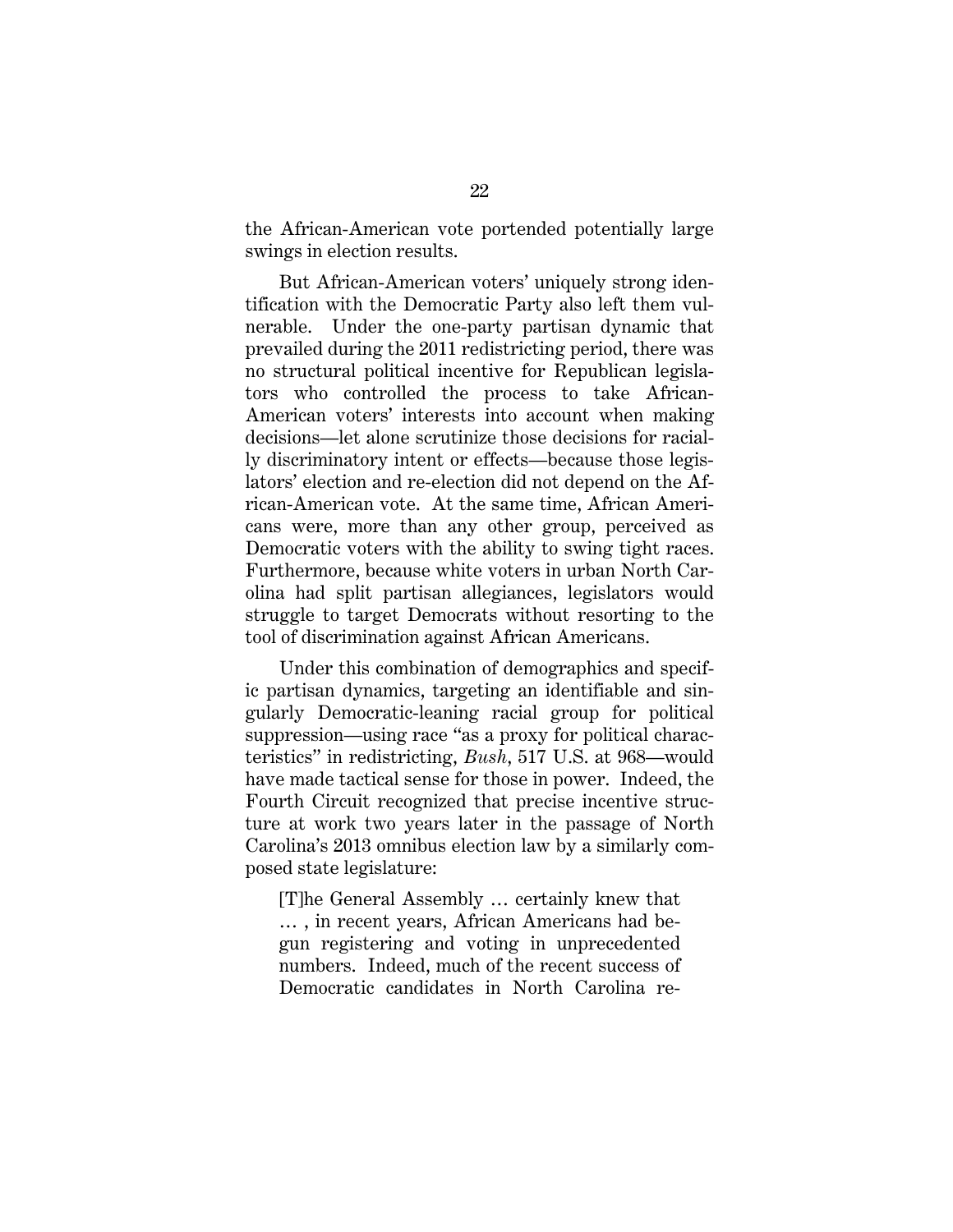the African-American vote portended potentially large swings in election results.

But African-American voters' uniquely strong identification with the Democratic Party also left them vulnerable. Under the one-party partisan dynamic that prevailed during the 2011 redistricting period, there was no structural political incentive for Republican legislators who controlled the process to take African-American voters' interests into account when making decisions—let alone scrutinize those decisions for racially discriminatory intent or effects—because those legislators' election and re-election did not depend on the African-American vote. At the same time, African Americans were, more than any other group, perceived as Democratic voters with the ability to swing tight races. Furthermore, because white voters in urban North Carolina had split partisan allegiances, legislators would struggle to target Democrats without resorting to the tool of discrimination against African Americans.

Under this combination of demographics and specific partisan dynamics, targeting an identifiable and singularly Democratic-leaning racial group for political suppression—using race "as a proxy for political characteristics" in redistricting, *Bush*, 517 U.S. at 968—would have made tactical sense for those in power. Indeed, the Fourth Circuit recognized that precise incentive structure at work two years later in the passage of North Carolina's 2013 omnibus election law by a similarly composed state legislature:

[T]he General Assembly … certainly knew that … , in recent years, African Americans had begun registering and voting in unprecedented numbers. Indeed, much of the recent success of Democratic candidates in North Carolina re-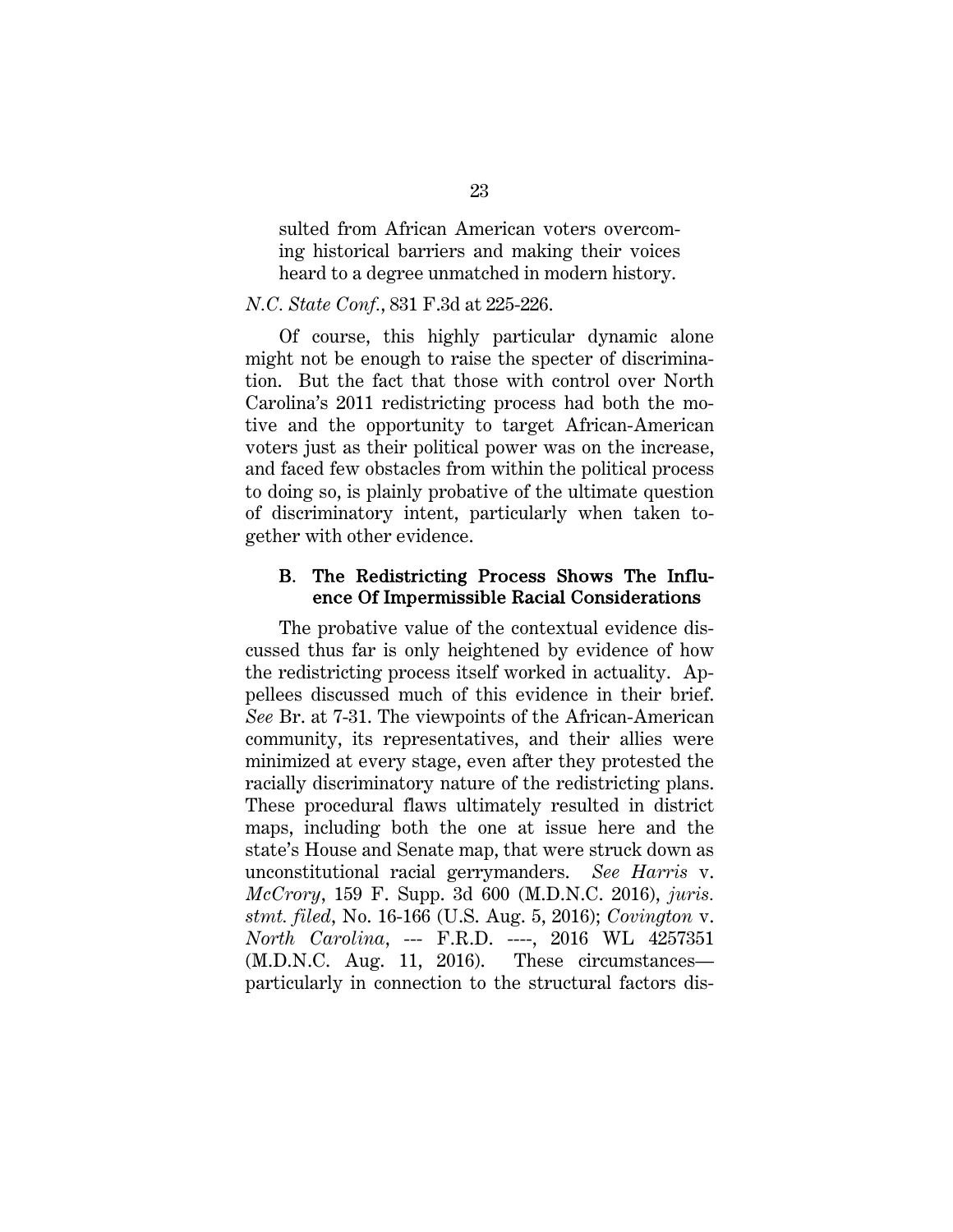sulted from African American voters overcoming historical barriers and making their voices heard to a degree unmatched in modern history.

#### *N.C. State Conf.*, 831 F.3d at 225-226.

Of course, this highly particular dynamic alone might not be enough to raise the specter of discrimination. But the fact that those with control over North Carolina's 2011 redistricting process had both the motive and the opportunity to target African-American voters just as their political power was on the increase, and faced few obstacles from within the political process to doing so, is plainly probative of the ultimate question of discriminatory intent, particularly when taken together with other evidence.

#### B. The Redistricting Process Shows The Influence Of Impermissible Racial Considerations

The probative value of the contextual evidence discussed thus far is only heightened by evidence of how the redistricting process itself worked in actuality. Appellees discussed much of this evidence in their brief. *See* Br. at 7-31. The viewpoints of the African-American community, its representatives, and their allies were minimized at every stage, even after they protested the racially discriminatory nature of the redistricting plans. These procedural flaws ultimately resulted in district maps, including both the one at issue here and the state's House and Senate map, that were struck down as unconstitutional racial gerrymanders. *See Harris* v. *McCrory*, 159 F. Supp. 3d 600 (M.D.N.C. 2016), *juris. stmt. filed*, No. 16-166 (U.S. Aug. 5, 2016); *Covington* v. *North Carolina*, --- F.R.D. ----, 2016 WL 4257351 (M.D.N.C. Aug. 11, 2016). These circumstances particularly in connection to the structural factors dis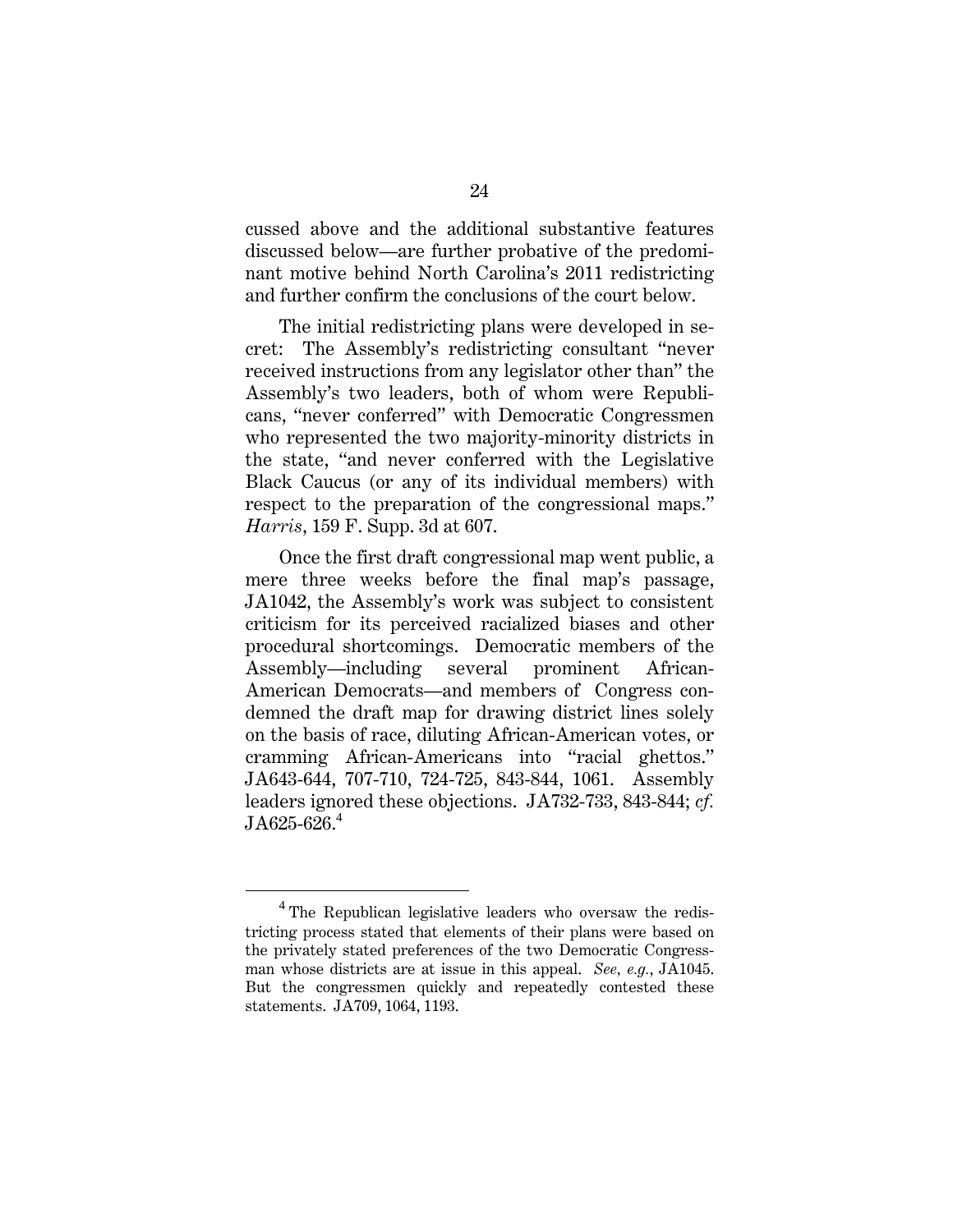cussed above and the additional substantive features discussed below—are further probative of the predominant motive behind North Carolina's 2011 redistricting and further confirm the conclusions of the court below.

The initial redistricting plans were developed in secret: The Assembly's redistricting consultant "never received instructions from any legislator other than" the Assembly's two leaders, both of whom were Republicans, "never conferred" with Democratic Congressmen who represented the two majority-minority districts in the state, "and never conferred with the Legislative Black Caucus (or any of its individual members) with respect to the preparation of the congressional maps." *Harris*, 159 F. Supp. 3d at 607.

Once the first draft congressional map went public, a mere three weeks before the final map's passage, JA1042, the Assembly's work was subject to consistent criticism for its perceived racialized biases and other procedural shortcomings. Democratic members of the Assembly—including several prominent African-American Democrats—and members of Congress condemned the draft map for drawing district lines solely on the basis of race, diluting African-American votes, or cramming African-Americans into "racial ghettos." JA643-644, 707-710, 724-725, 843-844, 1061. Assembly leaders ignored these objections. JA732-733, 843-844; *cf.*   $JA625-626.<sup>4</sup>$ 

 $\overline{4}$ <sup>4</sup> The Republican legislative leaders who oversaw the redistricting process stated that elements of their plans were based on the privately stated preferences of the two Democratic Congressman whose districts are at issue in this appeal. *See, e.g.*, JA1045. But the congressmen quickly and repeatedly contested these statements. JA709, 1064, 1193.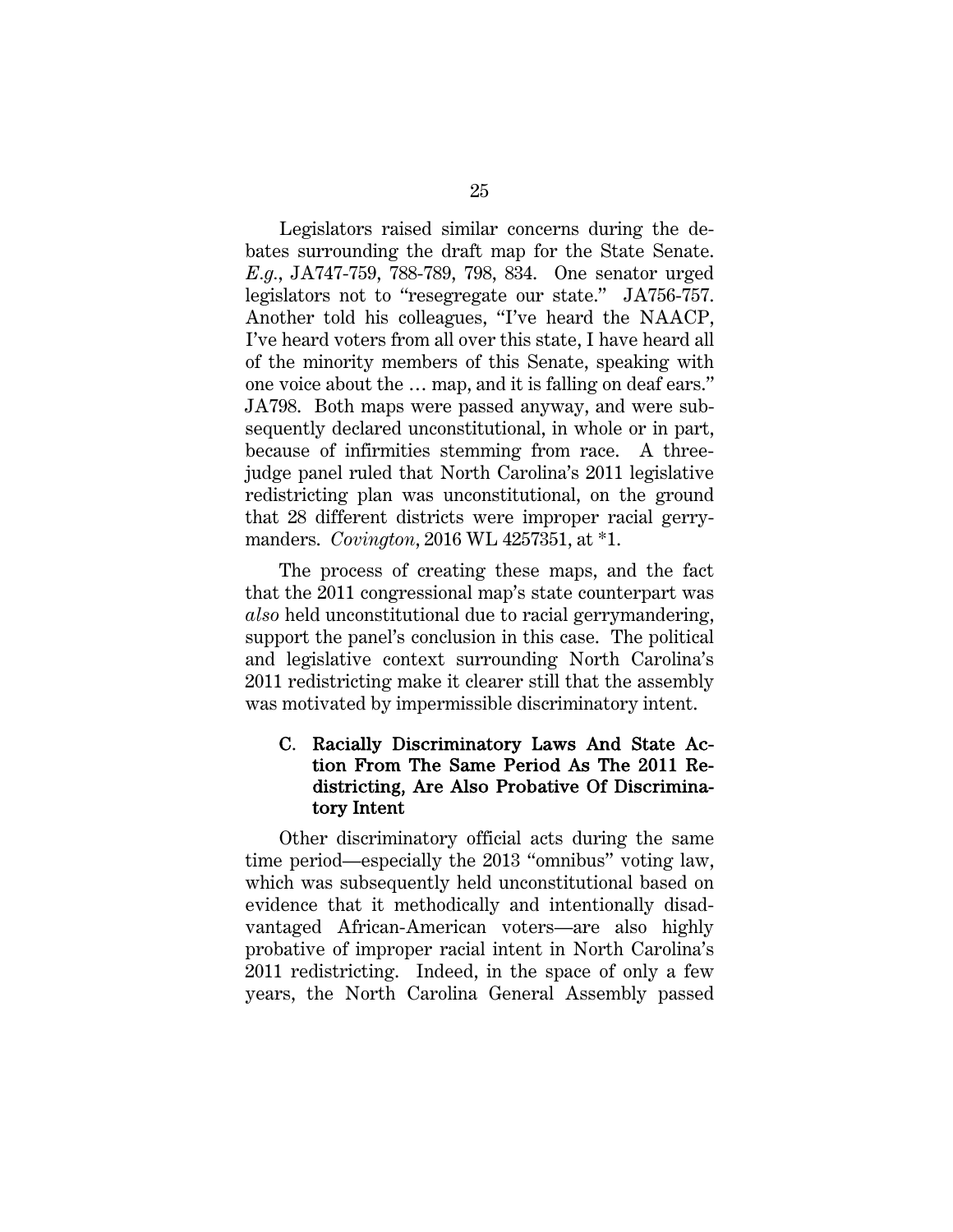Legislators raised similar concerns during the debates surrounding the draft map for the State Senate. *E.g.*, JA747-759, 788-789, 798, 834. One senator urged legislators not to "resegregate our state." JA756-757. Another told his colleagues, "I've heard the NAACP, I've heard voters from all over this state, I have heard all of the minority members of this Senate, speaking with one voice about the … map, and it is falling on deaf ears." JA798. Both maps were passed anyway, and were subsequently declared unconstitutional, in whole or in part, because of infirmities stemming from race. A threejudge panel ruled that North Carolina's 2011 legislative redistricting plan was unconstitutional, on the ground that 28 different districts were improper racial gerrymanders. *Covington*, 2016 WL 4257351, at \*1.

The process of creating these maps, and the fact that the 2011 congressional map's state counterpart was *also* held unconstitutional due to racial gerrymandering, support the panel's conclusion in this case. The political and legislative context surrounding North Carolina's 2011 redistricting make it clearer still that the assembly was motivated by impermissible discriminatory intent.

#### C. Racially Discriminatory Laws And State Action From The Same Period As The 2011 Redistricting, Are Also Probative Of Discriminatory Intent

Other discriminatory official acts during the same time period—especially the 2013 "omnibus" voting law, which was subsequently held unconstitutional based on evidence that it methodically and intentionally disadvantaged African-American voters—are also highly probative of improper racial intent in North Carolina's 2011 redistricting. Indeed, in the space of only a few years, the North Carolina General Assembly passed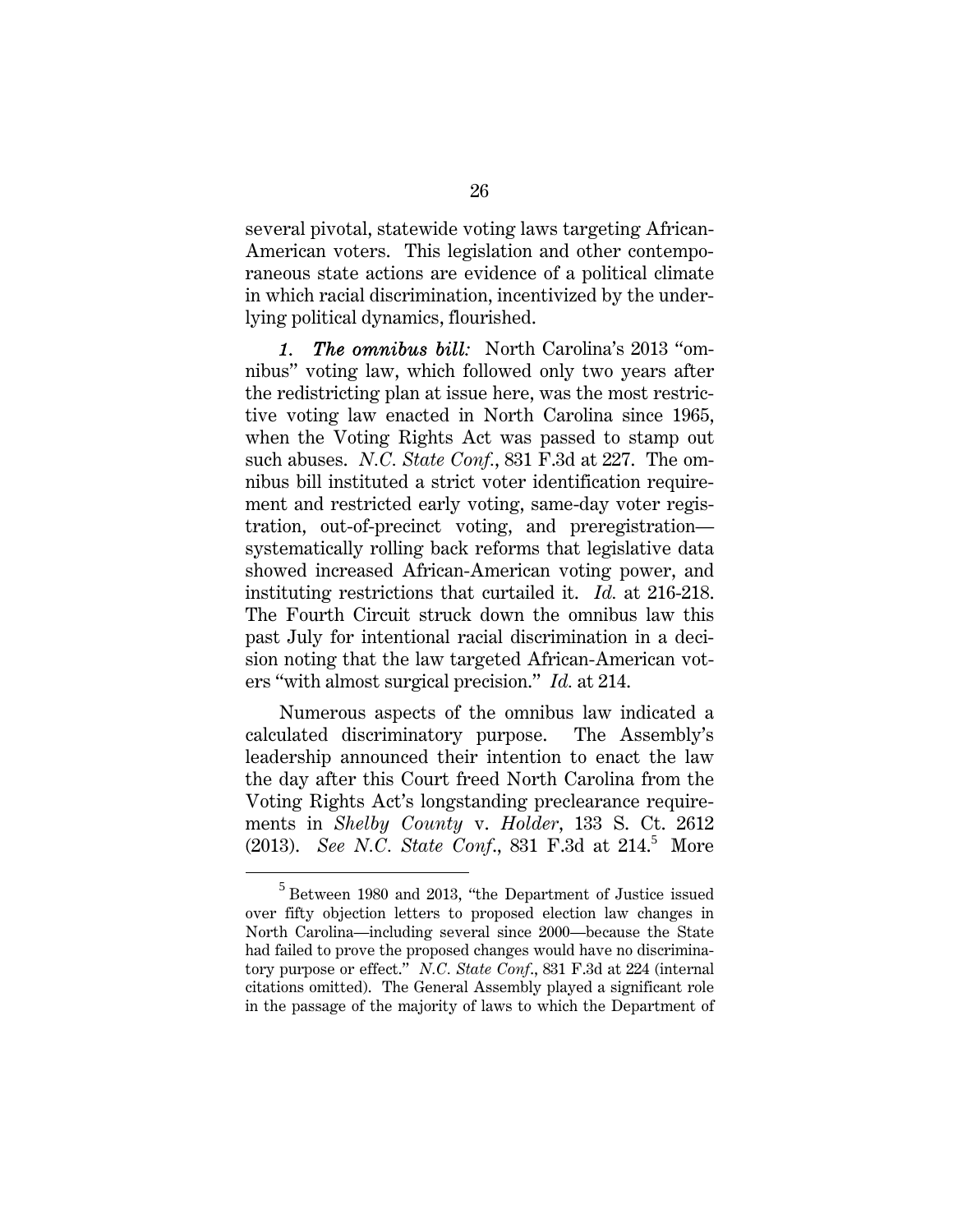several pivotal, statewide voting laws targeting African-American voters. This legislation and other contemporaneous state actions are evidence of a political climate in which racial discrimination, incentivized by the underlying political dynamics, flourished.

*1. The omnibus bill:* North Carolina's 2013 "omnibus" voting law, which followed only two years after the redistricting plan at issue here, was the most restrictive voting law enacted in North Carolina since 1965, when the Voting Rights Act was passed to stamp out such abuses. *N.C. State Conf.*, 831 F.3d at 227. The omnibus bill instituted a strict voter identification requirement and restricted early voting, same-day voter registration, out-of-precinct voting, and preregistration systematically rolling back reforms that legislative data showed increased African-American voting power, and instituting restrictions that curtailed it. *Id.* at 216-218. The Fourth Circuit struck down the omnibus law this past July for intentional racial discrimination in a decision noting that the law targeted African-American voters "with almost surgical precision." *Id.* at 214.

Numerous aspects of the omnibus law indicated a calculated discriminatory purpose. The Assembly's leadership announced their intention to enact the law the day after this Court freed North Carolina from the Voting Rights Act's longstanding preclearance requirements in *Shelby County* v. *Holder*, 133 S. Ct. 2612  $(2013)$ . *See N.C. State Conf.*, 831 F.3d at 214.<sup>5</sup> More

 $\frac{1}{5}$  $5$  Between 1980 and 2013, "the Department of Justice issued over fifty objection letters to proposed election law changes in North Carolina—including several since 2000—because the State had failed to prove the proposed changes would have no discriminatory purpose or effect." *N.C. State Conf*., 831 F.3d at 224 (internal citations omitted). The General Assembly played a significant role in the passage of the majority of laws to which the Department of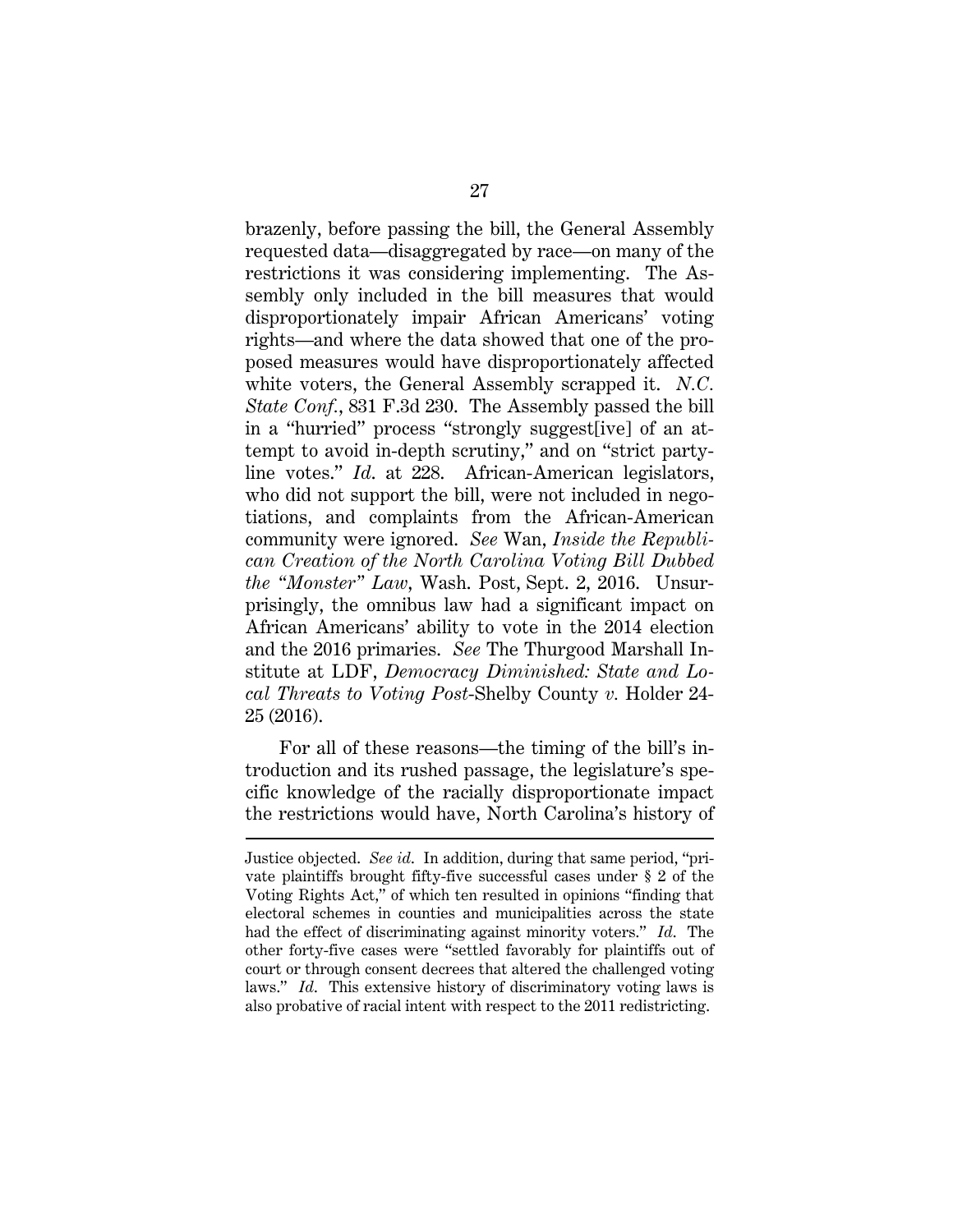brazenly, before passing the bill, the General Assembly requested data—disaggregated by race—on many of the restrictions it was considering implementing. The Assembly only included in the bill measures that would disproportionately impair African Americans' voting rights—and where the data showed that one of the proposed measures would have disproportionately affected white voters, the General Assembly scrapped it. *N.C. State Conf.*, 831 F.3d 230. The Assembly passed the bill in a "hurried" process "strongly suggest[ive] of an attempt to avoid in-depth scrutiny," and on "strict partyline votes." *Id*. at 228. African-American legislators, who did not support the bill, were not included in negotiations, and complaints from the African-American community were ignored. *See* Wan, *Inside the Republican Creation of the North Carolina Voting Bill Dubbed the "Monster" Law*, Wash. Post, Sept. 2, 2016. Unsurprisingly, the omnibus law had a significant impact on African Americans' ability to vote in the 2014 election and the 2016 primaries. *See* The Thurgood Marshall Institute at LDF, *Democracy Diminished: State and Local Threats to Voting Post*-Shelby County *v.* Holder 24- 25 (2016).

For all of these reasons—the timing of the bill's introduction and its rushed passage, the legislature's specific knowledge of the racially disproportionate impact the restrictions would have, North Carolina's history of

 $\overline{a}$ 

Justice objected. *See id*. In addition, during that same period, "private plaintiffs brought fifty-five successful cases under § 2 of the Voting Rights Act," of which ten resulted in opinions "finding that electoral schemes in counties and municipalities across the state had the effect of discriminating against minority voters." *Id*. The other forty-five cases were "settled favorably for plaintiffs out of court or through consent decrees that altered the challenged voting laws." *Id*. This extensive history of discriminatory voting laws is also probative of racial intent with respect to the 2011 redistricting.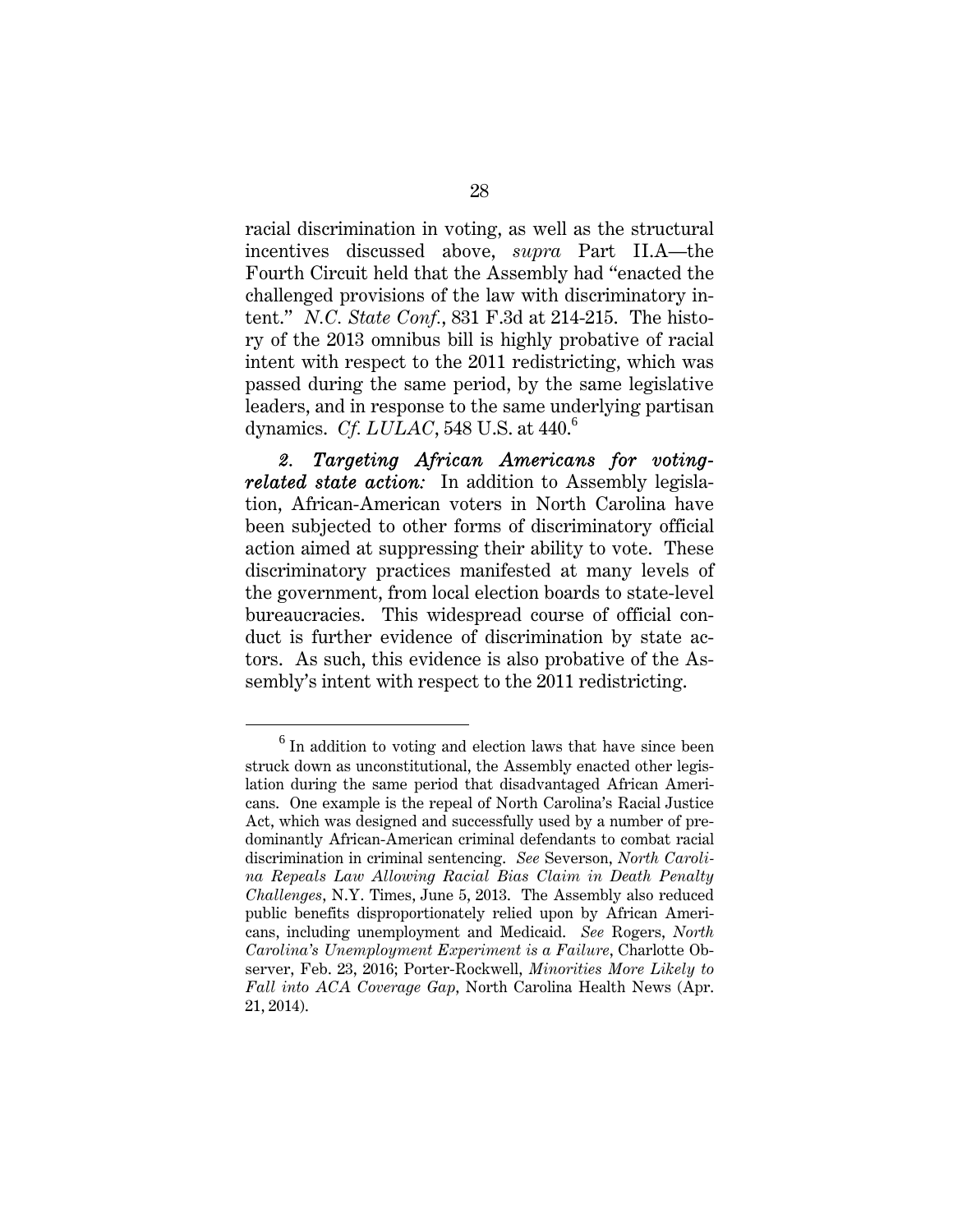racial discrimination in voting, as well as the structural incentives discussed above, *supra* Part II.A—the Fourth Circuit held that the Assembly had "enacted the challenged provisions of the law with discriminatory intent." *N.C. State Conf.*, 831 F.3d at 214-215. The history of the 2013 omnibus bill is highly probative of racial intent with respect to the 2011 redistricting, which was passed during the same period, by the same legislative leaders, and in response to the same underlying partisan dynamics. *Cf. LULAC*, 548 U.S. at 440.<sup>6</sup>

*2. Targeting African Americans for votingrelated state action:* In addition to Assembly legislation, African-American voters in North Carolina have been subjected to other forms of discriminatory official action aimed at suppressing their ability to vote. These discriminatory practices manifested at many levels of the government, from local election boards to state-level bureaucracies. This widespread course of official conduct is further evidence of discrimination by state actors. As such, this evidence is also probative of the Assembly's intent with respect to the 2011 redistricting.

<sup>6</sup>  $<sup>6</sup>$  In addition to voting and election laws that have since been</sup> struck down as unconstitutional, the Assembly enacted other legislation during the same period that disadvantaged African Americans. One example is the repeal of North Carolina's Racial Justice Act, which was designed and successfully used by a number of predominantly African-American criminal defendants to combat racial discrimination in criminal sentencing. *See* Severson, *North Carolina Repeals Law Allowing Racial Bias Claim in Death Penalty Challenges*, N.Y. Times, June 5, 2013. The Assembly also reduced public benefits disproportionately relied upon by African Americans, including unemployment and Medicaid. *See* Rogers, *North Carolina's Unemployment Experiment is a Failure*, Charlotte Observer, Feb. 23, 2016; Porter-Rockwell, *Minorities More Likely to Fall into ACA Coverage Gap*, North Carolina Health News (Apr. 21, 2014).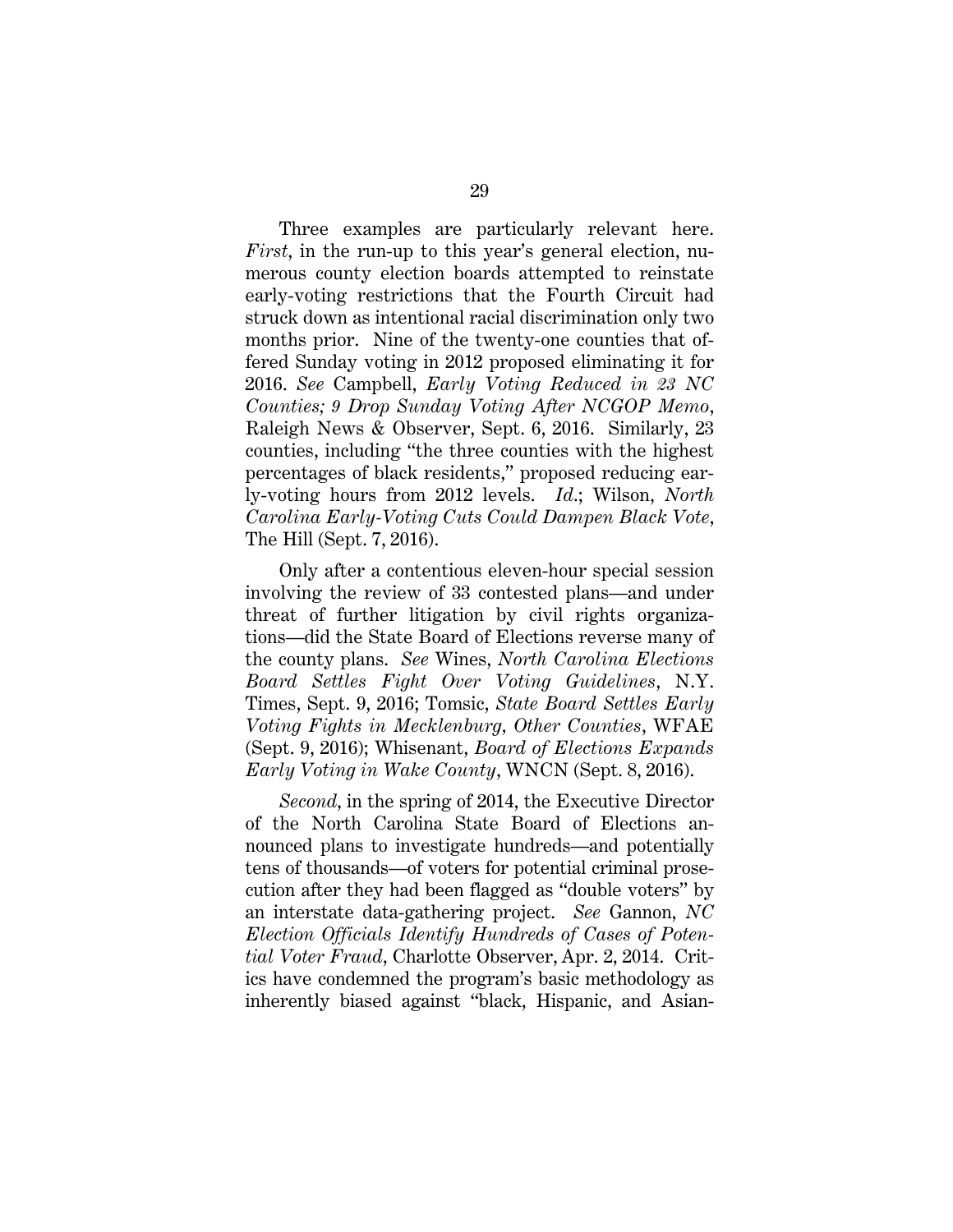Three examples are particularly relevant here. *First*, in the run-up to this year's general election, numerous county election boards attempted to reinstate early-voting restrictions that the Fourth Circuit had struck down as intentional racial discrimination only two months prior. Nine of the twenty-one counties that offered Sunday voting in 2012 proposed eliminating it for 2016. *See* Campbell, *Early Voting Reduced in 23 NC Counties; 9 Drop Sunday Voting After NCGOP Memo*, Raleigh News & Observer, Sept. 6, 2016. Similarly, 23 counties, including "the three counties with the highest percentages of black residents," proposed reducing early-voting hours from 2012 levels. *Id*.; Wilson, *North Carolina Early-Voting Cuts Could Dampen Black Vote*, The Hill (Sept. 7, 2016).

Only after a contentious eleven-hour special session involving the review of 33 contested plans—and under threat of further litigation by civil rights organizations—did the State Board of Elections reverse many of the county plans. *See* Wines, *North Carolina Elections Board Settles Fight Over Voting Guidelines*, N.Y. Times, Sept. 9, 2016; Tomsic, *State Board Settles Early Voting Fights in Mecklenburg, Other Counties*, WFAE (Sept. 9, 2016); Whisenant, *Board of Elections Expands Early Voting in Wake County*, WNCN (Sept. 8, 2016).

*Second*, in the spring of 2014, the Executive Director of the North Carolina State Board of Elections announced plans to investigate hundreds—and potentially tens of thousands—of voters for potential criminal prosecution after they had been flagged as "double voters" by an interstate data-gathering project. *See* Gannon, *NC Election Officials Identify Hundreds of Cases of Potential Voter Fraud*, Charlotte Observer, Apr. 2, 2014. Critics have condemned the program's basic methodology as inherently biased against "black, Hispanic, and Asian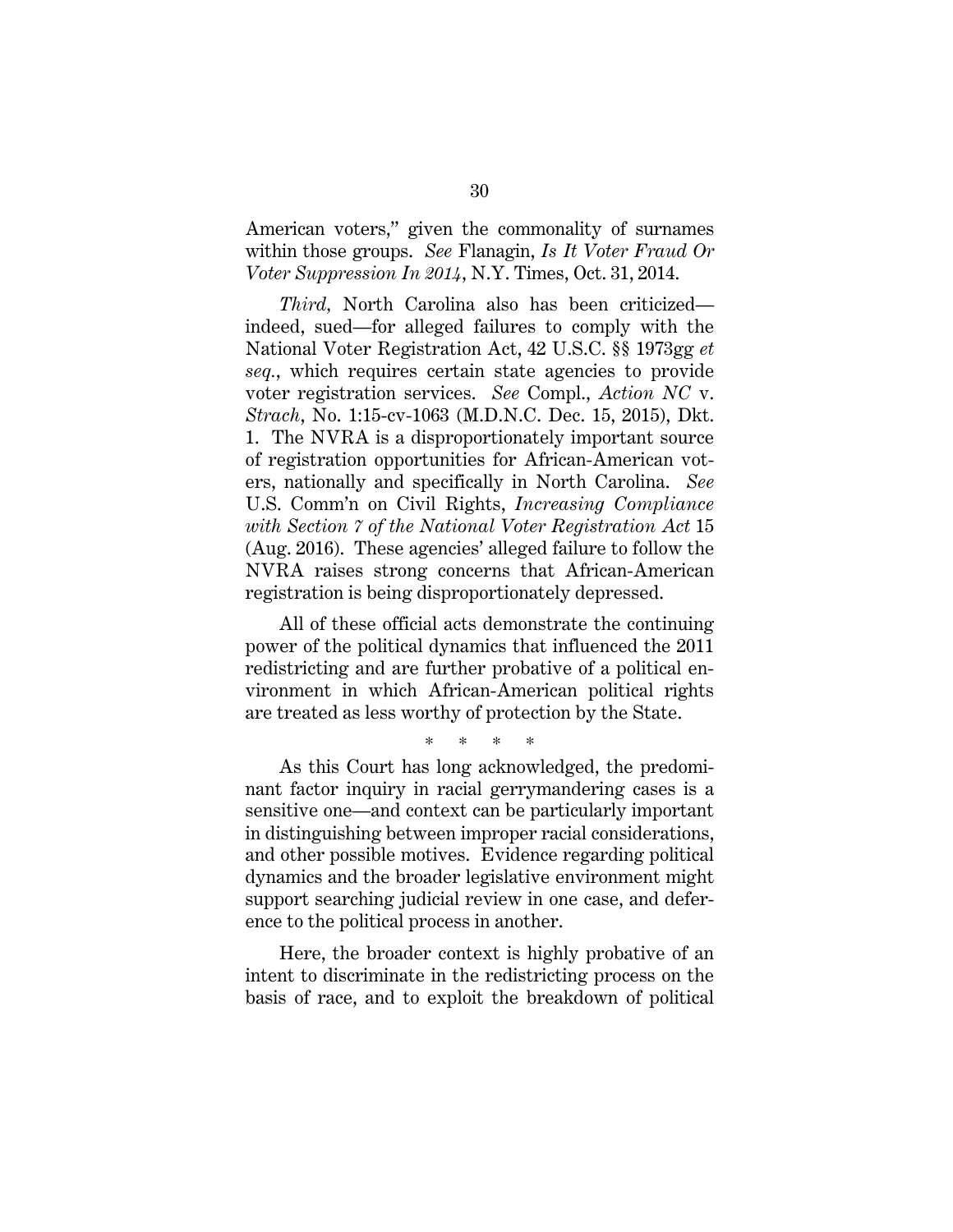American voters," given the commonality of surnames within those groups. *See* Flanagin, *Is It Voter Fraud Or Voter Suppression In 2014*, N.Y. Times, Oct. 31, 2014.

*Third,* North Carolina also has been criticized indeed, sued—for alleged failures to comply with the National Voter Registration Act, 42 U.S.C. §§ 1973gg *et seq.*, which requires certain state agencies to provide voter registration services. *See* Compl., *Action NC* v. *Strach*, No. 1:15-cv-1063 (M.D.N.C. Dec. 15, 2015), Dkt. 1. The NVRA is a disproportionately important source of registration opportunities for African-American voters, nationally and specifically in North Carolina. *See* U.S. Comm'n on Civil Rights, *Increasing Compliance with Section 7 of the National Voter Registration Act* 15 (Aug. 2016). These agencies' alleged failure to follow the NVRA raises strong concerns that African-American registration is being disproportionately depressed.

All of these official acts demonstrate the continuing power of the political dynamics that influenced the 2011 redistricting and are further probative of a political environment in which African-American political rights are treated as less worthy of protection by the State.

\* \* \* \*

As this Court has long acknowledged, the predominant factor inquiry in racial gerrymandering cases is a sensitive one—and context can be particularly important in distinguishing between improper racial considerations, and other possible motives. Evidence regarding political dynamics and the broader legislative environment might support searching judicial review in one case, and deference to the political process in another.

Here, the broader context is highly probative of an intent to discriminate in the redistricting process on the basis of race, and to exploit the breakdown of political